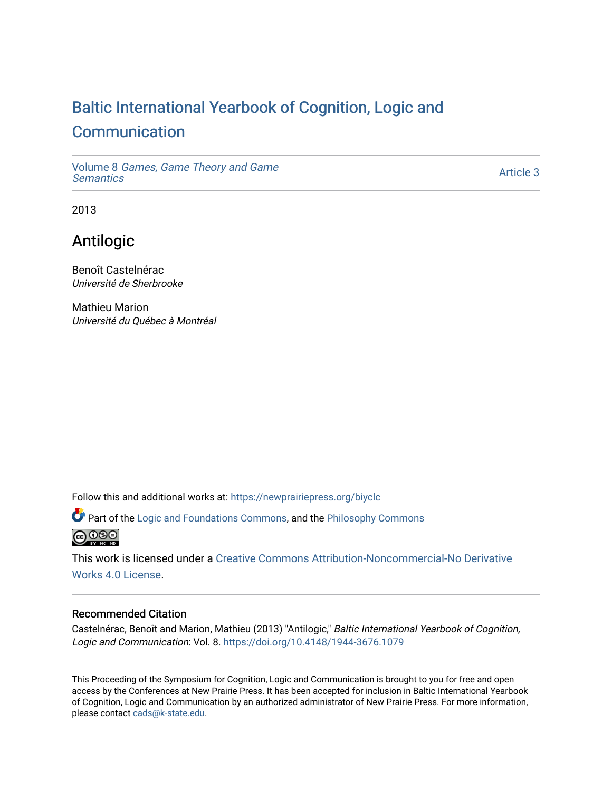# [Baltic International Yearbook of Cognition, Logic and](https://newprairiepress.org/biyclc)  **[Communication](https://newprairiepress.org/biyclc)**

Volume 8 [Games, Game Theory and Game](https://newprairiepress.org/biyclc/vol8) **Semantics** 

[Article 3](https://newprairiepress.org/biyclc/vol8/iss1/3) 

2013

## Antilogic

Benoît Castelnérac Université de Sherbrooke

Mathieu Marion Université du Québec à Montréal

Follow this and additional works at: [https://newprairiepress.org/biyclc](https://newprairiepress.org/biyclc?utm_source=newprairiepress.org%2Fbiyclc%2Fvol8%2Fiss1%2F3&utm_medium=PDF&utm_campaign=PDFCoverPages) 

**P** Part of the [Logic and Foundations Commons](http://network.bepress.com/hgg/discipline/182?utm_source=newprairiepress.org%2Fbiyclc%2Fvol8%2Fiss1%2F3&utm_medium=PDF&utm_campaign=PDFCoverPages), and the Philosophy Commons



This work is licensed under a [Creative Commons Attribution-Noncommercial-No Derivative](https://creativecommons.org/licenses/by-nc-nd/4.0/)  [Works 4.0 License](https://creativecommons.org/licenses/by-nc-nd/4.0/).

## Recommended Citation

Castelnérac, Benoît and Marion, Mathieu (2013) "Antilogic," Baltic International Yearbook of Cognition, Logic and Communication: Vol. 8. <https://doi.org/10.4148/1944-3676.1079>

This Proceeding of the Symposium for Cognition, Logic and Communication is brought to you for free and open access by the Conferences at New Prairie Press. It has been accepted for inclusion in Baltic International Yearbook of Cognition, Logic and Communication by an authorized administrator of New Prairie Press. For more information, please contact [cads@k-state.edu.](mailto:cads@k-state.edu)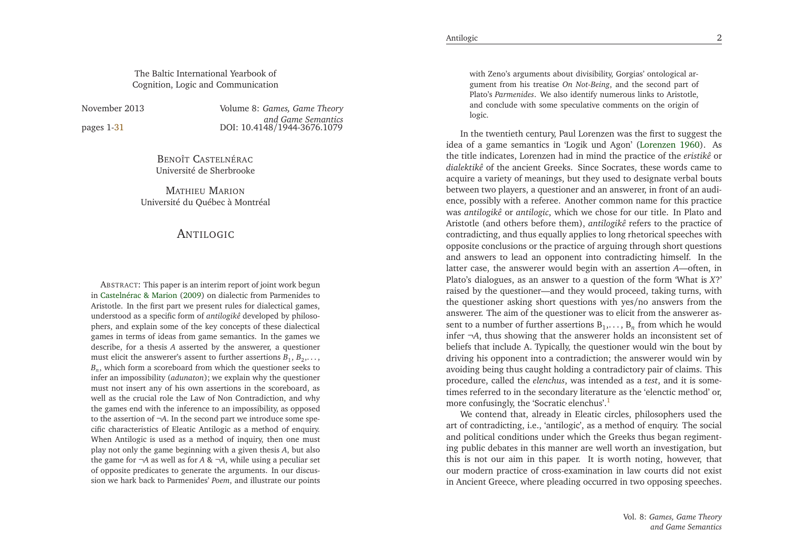The Baltic International Yearbook ofCognition, Logic and Communication

November 2013

pages 1[-31](#page-16-0)

 *Games, Game Theory and Game Semantics*1 **DOI:** 10.4148/1944-3676.1079

> Benoît Castelnérac Université de Sherbrooke

Mathieu Marion Université du Québec à Montréal

### <span id="page-1-0"></span>ANTILOGIC

ABSTRACT: This paper is an interim repor<sup>t</sup> of joint work begun in [Castelnérac](#page-15-0) & Marion [\(2009](#page-15-0)) on dialectic from Parmenides to Aristotle. In the first par<sup>t</sup> we presen<sup>t</sup> rules for dialectical games, understood as <sup>a</sup> specific form of *antilogikê* developed by <sup>p</sup>hiloso<sup>p</sup>hers, and explain some of the key concepts of these dialecticalgames in terms of ideas from game semantics. In the games we describe, for <sup>a</sup> thesis*A* asserted by the answerer, <sup>a</sup> questioner must elicit the answerer's assent to further assertions  $B_1, B_2, \ldots$ , *<sup>B</sup>n*, which form <sup>a</sup> scoreboard from which the questioner seeks to infer an impossibility (*adunaton*); we explain why the questioner must not insert any of his own assertions in the scoreboard, as well as the crucial role the Law of Non Contradiction, and why the games end with the inference to an impossibility, as opposed to the assertion of<sup>¬</sup>*A*. In the second par<sup>t</sup> we introduce some spe cific characteristics of Eleatic Antilogic as <sup>a</sup> method of enquiry. When Antilogic is used as <sup>a</sup> method of inquiry, then one must <sup>p</sup>lay not only the game beginning with <sup>a</sup> <sup>g</sup>iven thesis*<sup>A</sup>*, but alsothe game for  $\neg A$  as well as for  $A \& \neg A$ , while using a peculiar set of opposite predicates to generate the arguments. In our discussion we hark back to Parmenides' *Poem*, and illustrate our points

with Zeno's arguments about divisibility, Gorgias' ontological argumen<sup>t</sup> from his treatise *On Not-Being*, and the second par<sup>t</sup> of Plato's *Parmenides*. We also identify numerous links to Aristotle, and conclude with some speculative comments on the origin oflogic.

In the twentieth century, Paul Lorenzen was the first to sugges<sup>t</sup> the idea of <sup>a</sup> game semantics in 'Logik und Agon' [\(Lorenzen](#page-15-1) [1960](#page-15-1)). As the title indicates, Lorenzen had in mind the practice of the *eristikê* or *dialektikê* of the ancient Greeks. Since Socrates, these words came to acquire <sup>a</sup> variety of meanings, but they used to designate verbal bouts between two <sup>p</sup>layers, <sup>a</sup> questioner and an answerer, in front of an audience, possibly with <sup>a</sup> referee. Another common name for this practice was *antilogikê* or *antilogic*, which we chose for our title. In Plato and Aristotle (and others before them), *antilogikê* refers to the practice of contradicting, and thus equally applies to long rhetorical speeches with opposite conclusions or the practice of arguing through short questions and answers to lead an opponen<sup>t</sup> into contradicting himself. In the latter case, the answerer would begin with an assertion*<sup>A</sup>*—often, in Plato's dialogues, as an answer to <sup>a</sup> question of the form 'What is*X*?' raised by the questioner—and they would proceed, taking turns, with the questioner asking short questions with yes/no answers from the answerer. The aim of the questioner was to elicit from the answerer assent to a number of further assertions  $B_1, \ldots, B_n$  from which he would infer<sup>¬</sup>*A*, thus showing that the answerer holds an inconsistent set of beliefs that include A. Typically, the questioner would win the bout by driving his opponen<sup>t</sup> into <sup>a</sup> contradiction; the answerer would win by avoiding being thus caught holding <sup>a</sup> contradictory pair of claims. This procedure, called the *elenchus*, was intended as <sup>a</sup> *test*, and it is sometimes referred to in the secondary literature as the 'elenctic method' or, more confusingly, the 'Socratic elenchus'. [1](#page-13-0)

We contend that, already in Eleatic circles, <sup>p</sup>hilosophers used the art of contradicting, i.e., 'antilogic', as <sup>a</sup> method of enquiry. The socialand political conditions under which the Greeks thus began regimenting public debates in this manner are well worth an investigation, but this is not our aim in this paper. It is worth noting, however, that our modern practice of cross-examination in law courts did not existin Ancient Greece, where <sup>p</sup>leading occurred in two opposing speeches.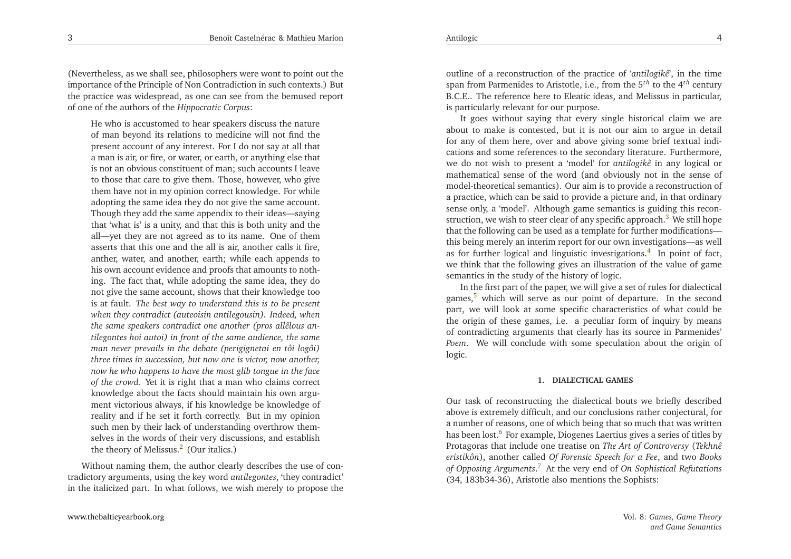(Nevertheless, as we shall see, <sup>p</sup>hilosophers were wont to point out the importance of the Principle of Non Contradiction in such contexts.) But the practice was widespread, as one can see from the bemused repor<sup>t</sup>of one of the authors of the *Hippocratic Corpus*:

<span id="page-2-5"></span><span id="page-2-4"></span><span id="page-2-0"></span>He who is accustomed to hear speakers discuss the nature of man beyond its relations to medicine will not find the presen<sup>t</sup> account of any interest. For <sup>I</sup> do not say at all that <sup>a</sup> man is air, or fire, or water, or earth, or anything else that is not an obvious constituent of man; such accounts <sup>I</sup> leave to those that care to <sup>g</sup>ive them. Those, however, who <sup>g</sup>ive them have not in my opinion correct knowledge. For while adopting the same idea they do not <sup>g</sup>ive the same account. Though they add the same appendix to their ideas—saying that 'what is' is <sup>a</sup> unity, and that this is both unity and the all—yet they are not agreed as to its name. One of them asserts that this one and the all is air, another calls it fire, anther, water, and another, earth; while each appends to his own account evidence and proofs that amounts to nothing. The fact that, while adopting the same idea, they do not <sup>g</sup>ive the same account, shows that their knowledge too is at fault. *The best way to understand this is to be presen<sup>t</sup> when they contradict (auteoisin antilegousin). Indeed, when the same speakers contradict one another (pros allêlous antilegontes hoi autoi) in front of the same audience, the same man never prevails in the debate (perigignetai en tôi logôi) three times in succession, but now one is victor, now another,* now he who happens to have the most glib tongue in the face *of the crowd.* Yet it is right that <sup>a</sup> man who claims correct knowledge about the facts should maintain his own argument victorious always, if his knowledge be knowledge of reality and if he set it forth correctly. But in my opinion such men by their lack of understanding overthrow themselves in the words of their very discussions, and establishthe theory of Melissus. [2](#page-13-1) (Our italics.)

Without naming them, the author clearly describes the use of contradictory arguments, using the key word *antilegontes*, 'they contradict' in the italicized part. In what follows, we wish merely to propose the <span id="page-2-3"></span>outline of <sup>a</sup> reconstruction of the practice of '*antilogikê*', in the time span from Parmenides to Aristotle, i.e., from the <sup>5</sup>*th* to the <sup>4</sup>*th* century B.C.E.. The reference here to Eleatic ideas, and Melissus in particular, is particularly relevant for our purpose.

It goes without saying that every single historical claim we are about to make is contested, but it is not our aim to argue in detail for any of them here, over and above <sup>g</sup>iving some brief textual indications and some references to the secondary literature. Furthermore, we do not wish to presen<sup>t</sup> <sup>a</sup> 'model' for *antilogikê* in any logical or mathematical sense of the word (and obviously not in the sense of model-theoretical semantics). Our aim is to provide <sup>a</sup> reconstruction of <sup>a</sup> practice, which can be said to provide <sup>a</sup> <sup>p</sup>icture and, in that ordinary sense only, <sup>a</sup> 'model'. Although game semantics is guiding this recon-struction, we wish to steer clear of any specific approach.<sup>[3](#page-13-2)</sup> We still hope that the following can be used as <sup>a</sup> template for further modifications this being merely an interim repor<sup>t</sup> for our own investigations—as well as for further logical and linguistic investigations. [4](#page-13-3) In point of fact, we think that the following <sup>g</sup>ives an illustration of the value of gamesemantics in the study of the history of logic.

<span id="page-2-2"></span><span id="page-2-1"></span>In the first par<sup>t</sup> of the paper, we will <sup>g</sup>ive <sup>a</sup> set of rules for dialecticalgames,<sup>[5](#page-13-4)</sup> which will serve as our point of departure. In the second part, we will look at some specific characteristics of what could be the origin of these games, i.e. <sup>a</sup> peculiar form of inquiry by means of contradicting arguments that clearly has its source in Parmenides' *Poem*. We will conclude with some speculation about the origin oflogic.

#### **1. DIALECTICAL GAMES**

Our task of reconstructing the dialectical bouts we briefly described above is extremely difficult, and our conclusions rather conjectural, for <sup>a</sup> number of reasons, one of which being that so much that was writtenhas been lost.<sup>[6](#page-13-5)</sup> For example, Diogenes Laertius gives a series of titles by Protagoras that include one treatise on *The Art of Controversy* (*Tekhnê eristikôn*), another called *Of Forensic Speech for <sup>a</sup> Fee*, and two *Books of Opposing Arguments*. [7](#page-13-6) At the very end of *On Sophistical Refutations*(34, 183b34-36), Aristotle also mentions the Sophists: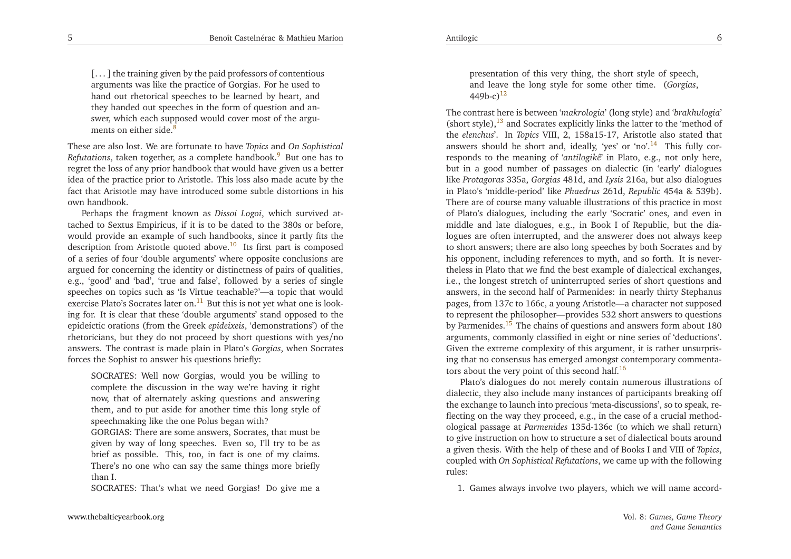<span id="page-3-7"></span>[. . . ] the training <sup>g</sup>iven by the paid professors of contentious arguments was like the practice of Gorgias. For he used to hand out rhetorical speeches to be learned by heart, and they handed out speeches in the form of question and answer, which each supposed would cover most of the argu-ments on either side.<sup>[8](#page-13-7)</sup>

These are also lost. We are fortunate to have *Topics* and *On Sophistical Refutations*, taken together, as a complete handbook.<sup>[9](#page-13-8)</sup> But one has to regre<sup>t</sup> the loss of any prior handbook that would have <sup>g</sup>iven us <sup>a</sup> better idea of the practice prior to Aristotle. This loss also made acute by the fact that Aristotle may have introduced some subtle distortions in hisown handbook.

<span id="page-3-8"></span><span id="page-3-3"></span>Perhaps the fragment known as *Dissoi Logoi*, which survived attached to Sextus Empiricus, if it is to be dated to the 380s or before, would provide an example of such handbooks, since it partly fits thedescription from Aristotle quoted above.<sup>[10](#page-13-9)</sup> Its first part is composed of <sup>a</sup> series of four 'double arguments' where opposite conclusions are argued for concerning the identity or distinctness of pairs of qualities, e.g., 'good' and 'bad', 'true and false', followed by <sup>a</sup> series of single speeches on topics such as 'Is Virtue teachable?'—a topic that wouldexercise Plato's Socrates later on.<sup>[11](#page-13-10)</sup> But this is not yet what one is looking for. It is clear that these 'double arguments' stand opposed to the epideictic orations (from the Greek *epideixeis*, 'demonstrations') of the rhetoricians, but they do not proceed by short questions with yes/no answers. The contrast is made <sup>p</sup>lain in Plato's *Gorgias*, when Socrates forces the Sophist to answer his questions briefly:

SOCRATES: Well now Gorgias, would you be willing to complete the discussion in the way we're having it right now, that of alternately asking questions and answering them, and to pu<sup>t</sup> aside for another time this long style ofspeechmaking like the one Polus began with?

 GORGIAS: There are some answers, Socrates, that must be <sup>g</sup>iven by way of long speeches. Even so, I'll try to be as brief as possible. This, too, in fact is one of my claims. There's no one who can say the same things more brieflythan I.

SOCRATES: That's what we need Gorgias! Do <sup>g</sup>ive me <sup>a</sup>

presentation of this very thing, the short style of speech, and leave the long style for some other time. (*Gorgias*,  $(449b-c)^{12}$  $(449b-c)^{12}$  $(449b-c)^{12}$ 

<span id="page-3-5"></span><span id="page-3-4"></span><span id="page-3-2"></span><span id="page-3-0"></span>The contrast here is between '*makrologia*' (long style) and '*brakhulogia*' (short style), $^{13}$  $^{13}$  $^{13}$  and Socrates explicitly links the latter to the 'method of the *elenchus*'. In *Topics* VIII, 2, 158a15-17, Aristotle also stated that answers should be short and, ideally, 'yes' or 'no'.<sup>[14](#page-13-13)</sup> This fully corresponds to the meaning of '*antilogikê*' in Plato, e.g., not only here, but in <sup>a</sup> good number of passages on dialectic (in 'early' dialogues like *Protagoras* 335a, *Gorgias* 481d, and *Lysis* 216a, but also dialogues in Plato's 'middle-period' like *Phaedrus* 261d, *Republic* 454a & 539b). There are of course many valuable illustrations of this practice in most of Plato's dialogues, including the early 'Socratic' ones, and even in middle and late dialogues, e.g., in Book <sup>I</sup> of Republic, but the dialogues are often interrupted, and the answerer does not always keep to short answers; there are also long speeches by both Socrates and by his opponent, including references to myth, and so forth. It is nevertheless in Plato that we find the best example of dialectical exchanges, i.e., the longest stretch of uninterrupted series of short questions and answers, in the second half of Parmenides: in nearly thirty Stephanus pages, from 137c to 166c, <sup>a</sup> young Aristotle—a character not supposed to represen<sup>t</sup> the <sup>p</sup>hilosopher—provides <sup>532</sup> short answers to questions by Parmenides.<sup>[15](#page-13-14)</sup> The chains of questions and answers form about 180 arguments, commonly classified in eight or nine series of 'deductions'. Given the extreme complexity of this argument, it is rather unsurprising that no consensus has emerged amongs<sup>t</sup> contemporary commenta-tors about the very point of this second half.<sup>[16](#page-13-15)</sup>

<span id="page-3-6"></span><span id="page-3-1"></span>Plato's dialogues do not merely contain numerous illustrations of dialectic, they also include many instances of participants breaking off the exchange to launch into precious 'meta-discussions', so to speak, reflecting on the way they proceed, e.g., in the case of <sup>a</sup> crucial methodological passage at *Parmenides* 135d-136c (to which we shall return) to <sup>g</sup>ive instruction on how to structure <sup>a</sup> set of dialectical bouts around <sup>a</sup> <sup>g</sup>iven thesis. With the help of these and of Books <sup>I</sup> and VIII of *Topics*, coupled with *On Sophistical Refutations*, we came up with the following rules:

1. Games always involve two <sup>p</sup>layers, which we will name accord-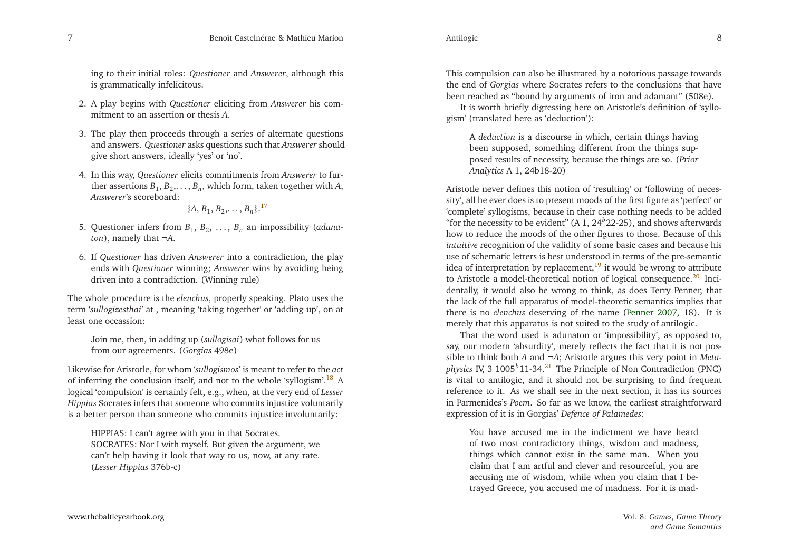ing to their initial roles: *Questioner* and *Answerer*, although this is grammatically infelicitous.

- 2. <sup>A</sup> <sup>p</sup>lay begins with *Questioner* eliciting from *Answerer* his commitment to an assertion or thesis *<sup>A</sup>*.
- 3. The <sup>p</sup>lay then proceeds through <sup>a</sup> series of alternate questions and answers. *Questioner* asks questions such that *Answerer* should<sup>g</sup>ive short answers, ideally 'yes' or 'no'.
- 4. In this way, *Questioner* elicits commitments from *Answerer* to further assertions  $B_1, B_2, \ldots, B_n$ , which form, taken together with *A*, *Answerer*'s scoreboard:

<span id="page-4-4"></span><span id="page-4-3"></span><span id="page-4-2"></span>
$$
\{A, B_1, B_2, \ldots, B_n\}^{17}
$$

- 5. Questioner infers from  $B_1, B_2, \ldots, B_n$  an impossibility (*adunaton*), namely that <sup>¬</sup>*A*.
- 6. If *Questioner* has driven *Answerer* into <sup>a</sup> contradiction, the <sup>p</sup>lay ends with *Questioner* winning; *Answerer* wins by avoiding being driven into <sup>a</sup> contradiction. (Winning rule)

The whole procedure is the *elenchus*, properly speaking. Plato uses the term '*sullogizesthai*' at , meaning 'taking together' or 'adding up', on atleast one occassion:

<span id="page-4-1"></span>Join me, then, in adding up (*sullogisai*) what follows for usfrom our agreements. (*Gorgias* 498e)

Likewise for Aristotle, for whom '*sullogismos*' is meant to refer to the *act* of inferring the conclusion itself, and not to the whole 'syllogism'.[18](#page-13-17) <sup>A</sup> logical 'compulsion' is certainly felt, e.g., when, at the very end of *Lesser Hippias* Socrates infers that someone who commits injustice voluntarilyis <sup>a</sup> better person than someone who commits injustice involuntarily:

HIPPIAS: <sup>I</sup> can't agree with you in that Socrates. SOCRATES: Nor <sup>I</sup> with myself. But <sup>g</sup>iven the argument, we can't help having it look that way to us, now, at any rate. (*Lesser Hippias* 376b-c)

This compulsion can also be illustrated by <sup>a</sup> notorious passage towards the end of *Gorgias* where Socrates refers to the conclusions that havebeen reached as "bound by arguments of iron and adamant" (508e).

It is worth briefly digressing here on Aristotle's definition of 'syllo<sup>g</sup>ism' (translated here as 'deduction'):

A *deduction* is <sup>a</sup> discourse in which, certain things having been supposed, something different from the things supposed results of necessity, because the things are so. (*PriorAnalytics* <sup>A</sup> 1, 24b18-20)

Aristotle never defines this notion of 'resulting' or 'following of necessity', all he ever does is to presen<sup>t</sup> moods of the first figure as 'perfect' or 'complete' syllogisms, because in their case nothing needs to be added"for the necessity to be evident" (A  $1, 24^b$ 22-25), and shows afterwards how to reduce the moods of the other figures to those. Because of this *intuitive* recognition of the validity of some basic cases and because his use of schematic letters is best understood in terms of the pre-semanticidea of interpretation by replacement,<sup>[19](#page-13-18)</sup> it would be wrong to attribute to Aristotle a model-theoretical notion of logical consequence.<sup>[20](#page-13-19)</sup> Incidentally, it would also be wrong to think, as does Terry Penner, that the lack of the full apparatus of model-theoretic semantics implies that there is no *elenchus* deserving of the name [\(Penner](#page-16-1) [2007](#page-16-1), 18). It is merely that this apparatus is not suited to the study of antilogic.

<span id="page-4-0"></span>That the word used is adunaton or 'impossibility', as opposed to, say, our modern 'absurdity', merely reflects the fact that it is not possible to think both *<sup>A</sup>* and <sup>¬</sup>*A*; Aristotle argues this very point in *Metaphysics* IV, <sup>3</sup> <sup>1005</sup>*b*11-34.[21](#page-13-20) The Principle of Non Contradiction (PNC) is vital to antilogic, and it should not be surprising to find frequent reference to it. As we shall see in the next section, it has its sources in Parmenides's *Poem*. So far as we know, the earliest straightforwardexpression of it is in Gorgias' *Defence of Palamedes*:

You have accused me in the indictment we have heard of two most contradictory things, wisdom and madness, things which cannot exist in the same man. When you claim that <sup>I</sup> am artful and clever and resourceful, you are accusing me of wisdom, while when you claim that <sup>I</sup> betrayed Greece, you accused me of madness. For it is mad-

7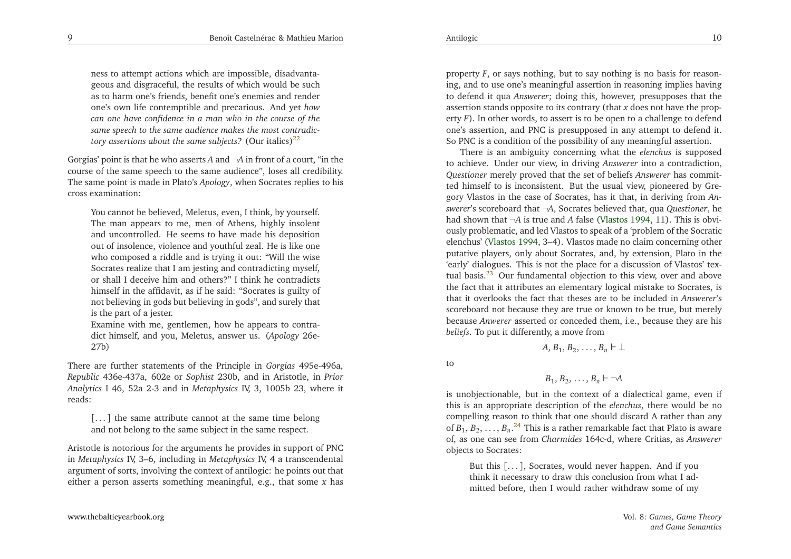<span id="page-5-2"></span>ness to attempt actions which are impossible, disadvantageous and disgraceful, the results of which would be such as to harm one's friends, benefit one's enemies and render one's own life contemptible and precarious. And ye<sup>t</sup> *how*can one have confidence in a man who in the course of the *same speech to the same audience makes the most contradictory assertions about the same subjects?* (Our italics)[22](#page-13-21)

Gorgias' point is that he who asserts*A* and ¬*A* in front of <sup>a</sup> court, "in the course of the same speech to the same audience", loses all credibility. The same point is made in Plato's *Apology*, when Socrates replies to his cross examination:

You cannot be believed, Meletus, even, <sup>I</sup> think, by yourself. The man appears to me, men of Athens, highly insolent and uncontrolled. He seems to have made his deposition out of insolence, violence and youthful zeal. He is like one who composed <sup>a</sup> riddle and is trying it out: "Will the wise Socrates realize that <sup>I</sup> am jesting and contradicting myself, or shall <sup>I</sup> deceive him and others?" <sup>I</sup> think he contradicts himself in the affidavit, as if he said: "Socrates is guilty of not believing in gods but believing in gods", and surely thatis the par<sup>t</sup> of <sup>a</sup> jester.

Examine with me, gentlemen, how he appears to contradict himself, and you, Meletus, answer us. (*Apology* 26e-27b)

There are further statements of the Principle in *Gorgias* 495e-496a, *Republic* 436e-437a, 602e or *Sophist* 230b, and in Aristotle, in *Prior Analytics* <sup>I</sup> 46, 52a 2-3 and in *Metaphysics* IV, 3, 1005b 23, where it reads:

[. . . ] the same attribute cannot at the same time belongand not belong to the same subject in the same respect.

Aristotle is notorious for the arguments he provides in suppor<sup>t</sup> of PNC in *Metaphysics* IV, 3–6, including in *Metaphysics* IV, <sup>4</sup> <sup>a</sup> transcendental argumen<sup>t</sup> of sorts, involving the context of antilogic: he points out thateither <sup>a</sup> person asserts something meaningful, e.g., that some*x* has

<span id="page-5-1"></span>property*<sup>F</sup>*, or says nothing, but to say nothing is no basis for reason ing, and to use one's meaningful assertion in reasoning implies having to defend it qua *Answerer*; doing this, however, presupposes that the assertion stands opposite to its contrary (that*x* does not have the prop erty*<sup>F</sup>*). In other words, to assert is to be open to <sup>a</sup> challenge to defend one's assertion, and PNC is presupposed in any attempt to defend it. So PNC is <sup>a</sup> condition of the possibility of any meaningful assertion.

There is an ambiguity concerning what the *elenchus* is supposed to achieve. Under our view, in driving *Answerer* into <sup>a</sup> contradiction, *Questioner* merely proved that the set of beliefs *Answerer* has committed himself to is inconsistent. But the usual view, <sup>p</sup>ioneered by Gregory Vlastos in the case of Socrates, has it that, in deriving from *Answerer*'s scoreboard that<sup>¬</sup>*A*, Socrates believed that, qua *Questioner*, he had shown that¬*A* is true and *A* false [\(Vlastos](#page-16-2) [1994](#page-16-2), 11). This is obvi ously problematic, and led Vlastos to speak of <sup>a</sup> 'problem of the Socratic elenchus' [\(Vlastos](#page-16-2) [1994](#page-16-2), 3–4). Vlastos made no claim concerning other putative <sup>p</sup>layers, only about Socrates, and, by extension, Plato in the 'early' dialogues. This is not the <sup>p</sup>lace for <sup>a</sup> discussion of Vlastos' textual basis.[23](#page-14-0) Our fundamental objection to this view, over and above the fact that it attributes an elementary logical mistake to Socrates, is that it overlooks the fact that theses are to be included in *Answerer*'s scoreboard not because they are true or known to be true, but merely because *Anwerer* asserted or conceded them, i.e., because they are his *beliefs*. To pu<sup>t</sup> it differently, <sup>a</sup> move from

<span id="page-5-0"></span>to

Antilogic

$$
B_1, B_2, \ldots, B_n \vdash \neg A
$$

 $A, B_1, B_2, \ldots, B_n \vdash \perp$ 

 is unobjectionable, but in the context of <sup>a</sup> dialectical game, even if this is an appropriate description of the *elenchus*, there would be no compelling reason to think that one should discard <sup>A</sup> rather than anyof  $B_1, B_2, \ldots, B_n$ .<sup>[24](#page-14-1)</sup> This is a rather remarkable fact that Plato is aware of, as one can see from *Charmides* 164c-d, where Critias, as *Answerer* objects to Socrates:

But this [. . . ], Socrates, would never happen. And if you think it necessary to draw this conclusion from what <sup>I</sup> admitted before, then <sup>I</sup> would rather withdraw some of my

9

Vol. 8: *Games, Game Theoryand Game Semantics*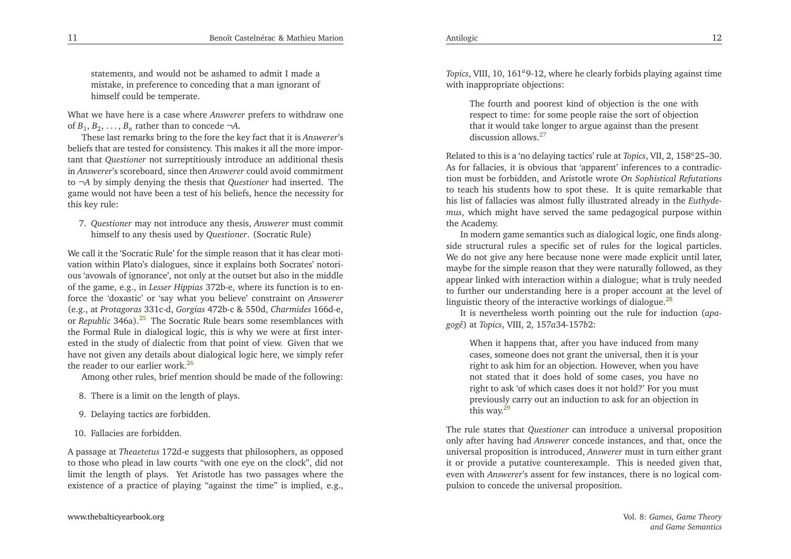Antilogic

<span id="page-6-4"></span><span id="page-6-0"></span>statements, and would not be ashamed to admit <sup>I</sup> made <sup>a</sup> mistake, in preference to conceding that <sup>a</sup> man ignorant ofhimself could be temperate.

What we have here is <sup>a</sup> case where *Answerer* prefers to withdraw one of  $B_1, B_2, \ldots, B_n$  rather than to concede  $\neg A$ .

These last remarks bring to the fore the key fact that it is *Answerer*'s beliefs that are tested for consistency. This makes it all the more important that *Questioner* not surreptitiously introduce an additional thesis in *Answerer*'s scoreboard, since then *Answerer* could avoid commitment to <sup>¬</sup>*<sup>A</sup>* by simply denying the thesis that *Questioner* had inserted. The game would not have been <sup>a</sup> test of his beliefs, hence the necessity forthis key rule:

<span id="page-6-1"></span>7. *Questioner* may not introduce any thesis, *Answerer* must commit himself to any thesis used by *Questioner*. (Socratic Rule)

We call it the 'Socratic Rule' for the simple reason that it has clear motivation within Plato's dialogues, since it explains both Socrates' notorious 'avowals of ignorance', not only at the outset but also in the middle of the game, e.g., in *Lesser Hippias* 372b-e, where its function is to enforce the 'doxastic' or 'say what you believe' constraint on *Answerer* (e.g., at *Protagoras* 331c-d, *Gorgias* 472b-c & 550d, *Charmides* 166d-e, or *Republic* 346a).<sup>[25](#page-14-2)</sup> The Socratic Rule bears some resemblances with the Formal Rule in dialogical logic, this is why we were at first interested in the study of dialectic from that point of view. Given that we have not <sup>g</sup>iven any details about dialogical logic here, we simply referthe reader to our earlier work.<sup>[26](#page-14-3)</sup>

Among other rules, brief mention should be made of the following:

- 8. There is <sup>a</sup> limit on the length of <sup>p</sup>lays.
- 9. Delaying tactics are forbidden.
- 10. Fallacies are forbidden.

A passage at *Theaetetus* 172d-e suggests that <sup>p</sup>hilosophers, as opposed to those who <sup>p</sup>lead in law courts "with one eye on the clock", did not limit the length of <sup>p</sup>lays. Yet Aristotle has two passages where theexistence of <sup>a</sup> practice of <sup>p</sup>laying "against the time" is implied, e.g.,

*Topics*, VIII, 10, 161<sup>*a*</sup>9-12, where he clearly forbids playing against time with inappropriate objections:

The fourth and poores<sup>t</sup> kind of objection is the one with respec<sup>t</sup> to time: for some people raise the sort of objection that it would take longer to argue against than the presen<sup>t</sup>discussion allows.<sup>[27](#page-14-4)</sup>

<span id="page-6-2"></span>Related to this is <sup>a</sup> 'no delaying tactics' rule at *Topics*, VII, 2, <sup>158</sup>*<sup>a</sup>*25–30. As for fallacies, it is obvious that 'apparent' inferences to <sup>a</sup> contradiction must be forbidden, and Aristotle wrote *On Sophistical Refutations* to teach his students how to spo<sup>t</sup> these. It is quite remarkable that his list of fallacies was almost fully illustrated already in the *Euthydemus*, which might have served the same pedagogical purpose withinthe Academy.

<span id="page-6-3"></span>In modern game semantics such as dialogical logic, one finds alongside structural rules <sup>a</sup> specific set of rules for the logical particles. We do not <sup>g</sup>ive any here because none were made explicit until later, maybe for the simple reason that they were naturally followed, as they appear linked with interaction within <sup>a</sup> dialogue; what is truly needed to further our understanding here is <sup>a</sup> proper account at the level oflinguistic theory of the interactive workings of dialogue. $^{28}$  $^{28}$  $^{28}$ 

It is nevertheless worth pointing out the rule for induction (*apagogê*) at *Topics*, VIII, 2, <sup>157</sup>*a*34-157*b*2:

When it happens that, after you have induced from many cases, someone does not gran<sup>t</sup> the universal, then it is your right to ask him for an objection. However, when you have not stated that it does hold of some cases, you have no right to ask 'of which cases does it not hold?' For you must previously carry out an induction to ask for an objection inthis way.<sup>[29](#page-14-6)</sup>

The rule states that *Questioner* can introduce <sup>a</sup> universal proposition only after having had *Answerer* concede instances, and that, once the universal proposition is introduced, *Answerer* must in turn either gran<sup>t</sup> it or provide <sup>a</sup> putative counterexample. This is needed <sup>g</sup>iven that, even with *Answerer*'s assent for few instances, there is no logical compulsion to concede the universal proposition.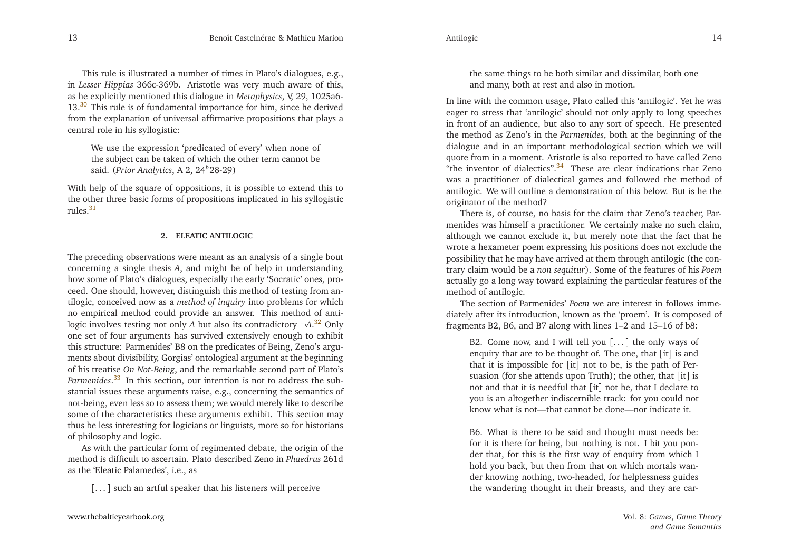This rule is illustrated <sup>a</sup> number of times in Plato's dialogues, e.g., in *Lesser Hippias* 366c-369b. Aristotle was very much aware of this, as he explicitly mentioned this dialogue in *Metaphysics*, V, 29, 1025a6- 13.<sup>[30](#page-14-7)</sup> This rule is of fundamental importance for him, since he derived from the explanation of universal affirmative propositions that <sup>p</sup>lays <sup>a</sup>central role in his syllogistic:

<span id="page-7-3"></span>We use the expression 'predicated of every' when none of the subject can be taken of which the other term cannot besaid. (*Prior Analytics*, <sup>A</sup> 2, 24*<sup>b</sup>*28-29)

With help of the square of oppositions, it is possible to extend this to the other three basic forms of propositions implicated in his syllogisticrules $31$ 

#### <span id="page-7-2"></span>**2. ELEATIC ANTILOGIC**

The preceding observations were meant as an analysis of <sup>a</sup> single bout concerning <sup>a</sup> single thesis*<sup>A</sup>*, and might be of help in understanding how some of Plato's dialogues, especially the early 'Socratic' ones, proceed. One should, however, distinguish this method of testing from antilogic, conceived now as <sup>a</sup> *method of inquiry* into problems for which no empirical method could provide an answer. This method of antilogic involves testing not only *A* but also its contradictory  $\neg A$ .<sup>[32](#page-14-9)</sup> Only one set of four arguments has survived extensively enough to exhibit this structure: Parmenides' B8 on the predicates of Being, Zeno's arguments about divisibility, Gorgias' ontological argumen<sup>t</sup> at the beginning of his treatise *On Not-Being*, and the remarkable second par<sup>t</sup> of Plato's *Parmenides*<sup>[33](#page-14-10)</sup> In this section, our intention is not to address the substantial issues these arguments raise, e.g., concerning the semantics of not-being, even less so to assess them; we would merely like to describe some of the characteristics these arguments exhibit. This section may thus be less interesting for logicians or linguists, more so for historians of <sup>p</sup>hilosophy and logic.

As with the particular form of regimented debate, the origin of the method is difficult to ascertain. Plato described Zeno in *Phaedrus* 261d as the 'Eleatic Palamedes', i.e., as

[. . . ] such an artful speaker that his listeners will perceive

<span id="page-7-0"></span>the same things to be both similar and dissimilar, both oneand many, both at rest and also in motion.

<span id="page-7-1"></span>In line with the common usage, Plato called this 'antilogic'. Yet he was eager to stress that 'antilogic' should not only apply to long speeches in front of an audience, but also to any sort of speech. He presented the method as Zeno's in the *Parmenides*, both at the beginning of the dialogue and in an important methodological section which we will quote from in <sup>a</sup> moment. Aristotle is also reported to have called Zeno"the inventor of dialectics".<sup>[34](#page-14-11)</sup> These are clear indications that Zeno was <sup>a</sup> practitioner of dialectical games and followed the method of antilogic. We will outline <sup>a</sup> demonstration of this below. But is he theoriginator of the method?

<span id="page-7-4"></span> There is, of course, no basis for the claim that Zeno's teacher, Parmenides was himself <sup>a</sup> practitioner. We certainly make no such claim, although we cannot exclude it, but merely note that the fact that he wrote <sup>a</sup> hexameter poem expressing his positions does not exclude the possibility that he may have arrived at them through antilogic (the contrary claim would be <sup>a</sup> *non sequitur*). Some of the features of his *Poem* actually go <sup>a</sup> long way toward explaining the particular features of themethod of antilogic.

The section of Parmenides' *Poem* we are interest in follows immediately after its introduction, known as the 'proem'. It is composed offragments B2, B6, and B7 along with lines 1–2 and 15–16 of b8:

B2. Come now, and <sup>I</sup> will tell you [. . . ] the only ways of enquiry that are to be thought of. The one, that [it] is and that it is impossible for [it] not to be, is the path of Persuasion (for she attends upon Truth); the other, that [it] is not and that it is needful that [it] not be, that <sup>I</sup> declare to you is an altogether indiscernible track: for you could notknow what is not—that cannot be done—nor indicate it.

B6. What is there to be said and thought must needs be: for it is there for being, but nothing is not. <sup>I</sup> bit you ponder that, for this is the first way of enquiry from which <sup>I</sup> hold you back, but then from that on which mortals wander knowing nothing, two-headed, for helplessness guidesthe wandering thought in their breasts, and they are car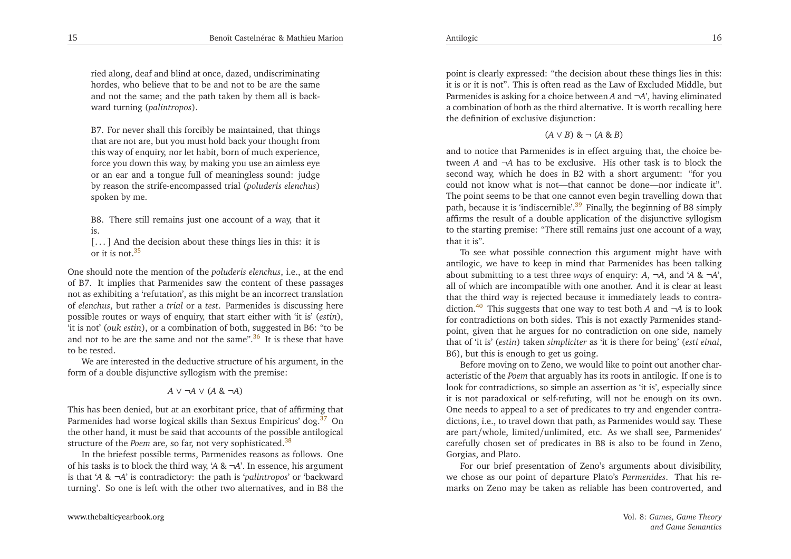<span id="page-8-5"></span>ried along, deaf and blind at once, dazed, undiscriminating hordes, who believe that to be and not to be are the same and not the same; and the path taken by them all is backward turning (*palintropos*).

B7. For never shall this forcibly be maintained, that things that are not are, but you must hold back your thought from this way of enquiry, nor let habit, born of much experience, force you down this way, by making you use an aimless eye or an ear and <sup>a</sup> tongue full of meaningless sound: judge by reason the strife-encompassed trial (*poluderis elenchus*)spoken by me.

B8. There still remains just one account of <sup>a</sup> way, that itis.

<span id="page-8-1"></span>[...] And the decision about these things lies in this: it is or it is not  $35$ 

<span id="page-8-3"></span>One should note the mention of the *poluderis elenchus*, i.e., at the end of B7. It implies that Parmenides saw the content of these passages not as exhibiting <sup>a</sup> 'refutation', as this might be an incorrect translation of *elenchus*, but rather <sup>a</sup> *trial* or <sup>a</sup> *test*. Parmenides is discussing here possible routes or ways of enquiry, that start either with 'it is' (*estin*), 'it is not' (*ouk estin*), or <sup>a</sup> combination of both, suggested in B6: "to beand not to be are the same and not the same". $36$  It is these that have to be tested.

We are interested in the deductive structure of his argument, in theform of <sup>a</sup> double disjunctive syllogism with the premise:

<span id="page-8-2"></span>
$$
A \vee \neg A \vee (A \& \neg A)
$$

This has been denied, but at an exorbitant price, that of affirming thatParmenides had worse logical skills than Sextus Empiricus' dog.<sup>[37](#page-14-14)</sup> On the other hand, it must be said that accounts of the possible antilogicalstructure of the *Poem* are, so far, not very sophisticated.<sup>[38](#page-14-15)</sup>

In the briefest possible terms, Parmenides reasons as follows. One of his tasks is to block the third way, '*<sup>A</sup>* & <sup>¬</sup>*A*'. In essence, his argumen<sup>t</sup> is that '*<sup>A</sup>* & <sup>¬</sup>*A*' is contradictory: the path is '*palintropos*' or 'backward turning'. So one is left with the other two alternatives, and in B8 the

point is clearly expressed: "the decision about these things lies in this: it is or it is not". This is often read as the Law of Excluded Middle, but Parmenides is asking for <sup>a</sup> choice between *<sup>A</sup>* and <sup>¬</sup>*A*', having eliminated <sup>a</sup> combination of both as the third alternative. It is worth recalling herethe definition of exclusive disjunction:

(*A* <sup>∨</sup> *<sup>B</sup>*) & <sup>¬</sup> (*<sup>A</sup>* & *<sup>B</sup>*)

<span id="page-8-4"></span><span id="page-8-0"></span>and to notice that Parmenides is in effect arguing that, the choice between *<sup>A</sup>* and <sup>¬</sup>*<sup>A</sup>* has to be exclusive. His other task is to block the second way, which he does in B2 with <sup>a</sup> short argument: "for you could not know what is not—that cannot be done—nor indicate it". The point seems to be that one cannot even begin travelling down thatpath, because it is 'indiscernible'.<sup>[39](#page-14-16)</sup> Finally, the beginning of B8 simply affirms the result of <sup>a</sup> double application of the disjunctive syllogism to the starting premise: "There still remains just one account of <sup>a</sup> way, that it is".

To see what possible connection this argumen<sup>t</sup> might have with antilogic, we have to keep in mind that Parmenides has been talking about submitting to <sup>a</sup> test three *ways* of enquiry: *<sup>A</sup>*, <sup>¬</sup>*A*, and '*<sup>A</sup>* & <sup>¬</sup>*A*', all of which are incompatible with one another. And it is clear at least that the third way is rejected because it immediately leads to contra-diction.<sup>[40](#page-14-17)</sup> This suggests that one way to test both *A* and  $\neg A$  is to look for contradictions on both sides. This is not exactly Parmenides standpoint, <sup>g</sup>iven that he argues for no contradiction on one side, namely that of 'it is' (*estin*) taken *simpliciter* as 'it is there for being' (*esti einai*, B6), but this is enough to ge<sup>t</sup> us going.

Before moving on to Zeno, we would like to point out another characteristic of the *Poem* that arguably has its roots in antilogic. If one is to look for contradictions, so simple an assertion as 'it is', especially since it is not paradoxical or self-refuting, will not be enough on its own. One needs to appeal to <sup>a</sup> set of predicates to try and engender contradictions, i.e., to travel down that path, as Parmenides would say. These are par<sup>t</sup>/whole, limited/unlimited, etc. As we shall see, Parmenides' carefully chosen set of predicates in B8 is also to be found in Zeno, Gorgias, and Plato.

For our brief presentation of Zeno's arguments about divisibility, we chose as our point of departure Plato's *Parmenides*. That his remarks on Zeno may be taken as reliable has been controverted, and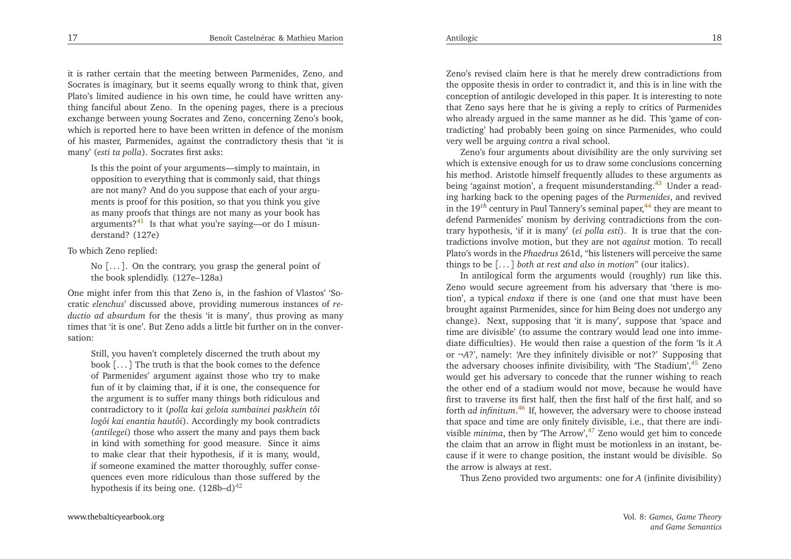it is rather certain that the meeting between Parmenides, Zeno, and Socrates is imaginary, but it seems equally wrong to think that, <sup>g</sup>iven Plato's limited audience in his own time, he could have written anything fanciful about Zeno. In the opening pages, there is <sup>a</sup> precious exchange between young Socrates and Zeno, concerning Zeno's book, which is reported here to have been written in defence of the monism of his master, Parmenides, against the contradictory thesis that 'it ismany' (*esti ta polla*). Socrates first asks:

<span id="page-9-6"></span><span id="page-9-5"></span>Is this the point of your arguments—simply to maintain, in opposition to everything that is commonly said, that things are not many? And do you suppose that each of your arguments is proof for this position, so that you think you <sup>g</sup>ive as many proofs that things are not many as your book hasarguments?<sup>[41](#page-14-18)</sup> Is that what you're saying—or do I misunderstand? (127e)

<span id="page-9-1"></span>To which Zeno replied:

<span id="page-9-4"></span>No [. . . ]. On the contrary, you grasp the genera<sup>l</sup> point of the book splendidly. (127e–128a)

One might infer from this that Zeno is, in the fashion of Vlastos' 'Socratic *elenchus*' discussed above, providing numerous instances of *reductio ad absurdum* for the thesis 'it is many', thus proving as many times that 'it is one'. But Zeno adds <sup>a</sup> little bit further on in the conversation:

Still, you haven't completely discerned the truth about my book [. . . ] The truth is that the book comes to the defence of Parmenides' argumen<sup>t</sup> against those who try to make fun of it by claiming that, if it is one, the consequence for the argumen<sup>t</sup> is to suffer many things both ridiculous and contradictory to it (*polla kai geloia sumbainei paskhein tôi logôi kai enantia hautôi*). Accordingly my book contradicts (*antilegei*) those who assert the many and pays them back in kind with something for good measure. Since it aims to make clear that their hypothesis, if it is many, would, if someone examined the matter thoroughly, suffer consequences even more ridiculous than those suffered by thehypothesis if its being one.  $(128b-d)^{42}$  $(128b-d)^{42}$  $(128b-d)^{42}$ 

[www.thebalticyearbook.org](http://www.thebalticyearbook.org/)

Zeno's revised claim here is that he merely drew contradictions from the opposite thesis in order to contradict it, and this is in line with the conception of antilogic developed in this paper. It is interesting to note that Zeno says here that he is <sup>g</sup>iving <sup>a</sup> reply to critics of Parmenides who already argued in the same manner as he did. This 'game of contradicting' had probably been going on since Parmenides, who couldvery well be arguing *contra* <sup>a</sup> rival school.

<span id="page-9-0"></span>Zeno's four arguments about divisibility are the only surviving set which is extensive enough for us to draw some conclusions concerning his method. Aristotle himself frequently alludes to these arguments asbeing 'against motion', a frequent misunderstanding.<sup>[43](#page-14-20)</sup> Under a reading harking back to the opening pages of the *Parmenides*, and revivedin the 19<sup>th</sup> century in Paul Tannery's seminal paper,<sup>[44](#page-14-21)</sup> they are meant to defend Parmenides' monism by deriving contradictions from the con-<br>tracy have the site if it is mapp? (si nalla sati). It is two that the same trary hypothesis, 'if it is many' (*ei polla esti*). It is true that the contradictions involve motion, but they are not *against* motion. To recall Plato's words in the *Phaedrus* 261d, "his listeners will perceive the same things to be [. . . ] *both at rest and also in motion*" (our italics).

<span id="page-9-3"></span><span id="page-9-2"></span>In antilogical form the arguments would (roughly) run like this. Zeno would secure agreemen<sup>t</sup> from his adversary that 'there is motion', <sup>a</sup> typical *endoxa* if there is one (and one that must have been brought against Parmenides, since for him Being does not undergo any change). Next, supposing that 'it is many', suppose that 'space and time are divisible' (to assume the contrary would lead one into immediate difficulties). He would then raise <sup>a</sup> question of the form 'Is it*A*or  $\neg A$ ?', namely: 'Are they infinitely divisible or not?' Supposing that the adversary chooses infinite divisibility, with 'The Stadium',<sup>[45](#page-14-22)</sup> Zeno would ge<sup>t</sup> his adversary to concede that the runner wishing to reach the other end of <sup>a</sup> stadium would not move, because he would have first to traverse its first half, then the first half of the first half, and so forth *ad infinitum*.[46](#page-14-23) If, however, the adversary were to choose instead that space and time are only finitely divisible, i.e., that there are indivisible *minima*, then by 'The Arrow',<sup>[47](#page-14-24)</sup> Zeno would get him to concede the claim that an arrow in flight must be motionless in an instant, because if it were to change position, the instant would be divisible. Sothe arrow is always at rest.

Thus Zeno provided two arguments: one for*A* (infinite divisibility)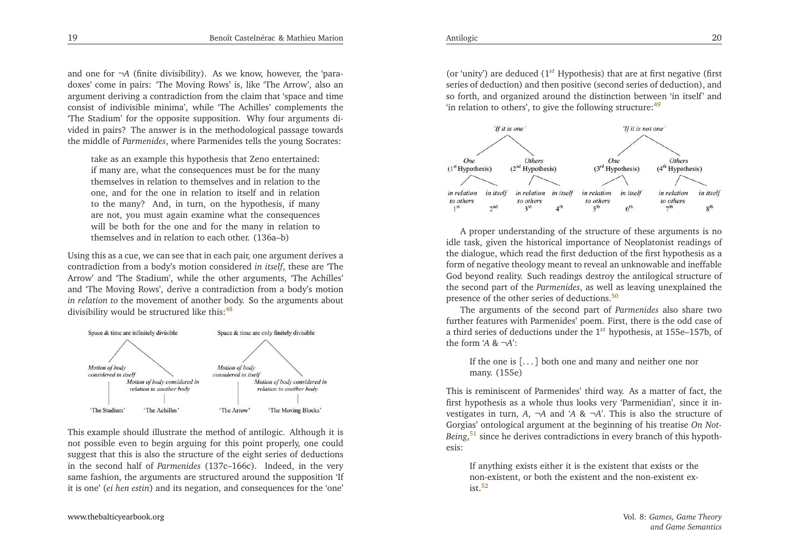<span id="page-10-4"></span><span id="page-10-3"></span>and one for <sup>¬</sup>*<sup>A</sup>* (finite divisibility). As we know, however, the 'paradoxes' come in pairs: 'The Moving Rows' is, like 'The Arrow', also an argumen<sup>t</sup> deriving <sup>a</sup> contradiction from the claim that 'space and time consist of indivisible minima', while 'The Achilles' complements the 'The Stadium' for the opposite supposition. Why four arguments divided in pairs? The answer is in the methodological passage towardsthe middle of *Parmenides*, where Parmenides tells the young Socrates:

<span id="page-10-0"></span>take as an example this hypothesis that Zeno entertained: if many are, what the consequences must be for the many themselves in relation to themselves and in relation to the one, and for the one in relation to itself and in relation to the many? And, in turn, on the hypothesis, if many are not, you must again examine what the consequences will be both for the one and for the many in relation tothemselves and in relation to each other. (136a–b)

Using this as <sup>a</sup> cue, we can see that in each pair, one argumen<sup>t</sup> derives <sup>a</sup> contradiction from <sup>a</sup> body's motion considered *in itself*, these are 'The Arrow' and 'The Stadium', while the other arguments, 'The Achilles' and 'The Moving Rows', derive <sup>a</sup> contradiction from <sup>a</sup> body's motion *in relation to* the movement of another body. So the arguments about divisibility would be structured like this:<sup>[48](#page-14-25)</sup>



This example should illustrate the method of antilogic. Although it is not possible even to begin arguing for this point properly, one could sugges<sup>t</sup> that this is also the structure of the eight series of deductions in the second half of *Parmenides* (137c–166c). Indeed, in the very same fashion, the arguments are structured around the supposition 'Ifit is one' (*ei hen estin*) and its negation, and consequences for the 'one'

(or 'unity') are deduced (1*st* Hypothesis) that are at first negative (first series of deduction) and then positive (second series of deduction), and so forth, and organized around the distinction between 'in itself' and'in relation to others', to give the following structure:  $49$ 



<span id="page-10-2"></span><span id="page-10-1"></span><sup>A</sup> proper understanding of the structure of these arguments is no idle task, <sup>g</sup>iven the historical importance of Neoplatonist readings of the dialogue, which read the first deduction of the first hypothesis as <sup>a</sup> form of negative theology meant to reveal an unknowable and ineffable God beyond reality. Such readings destroy the antilogical structure of the second par<sup>t</sup> of the *Parmenides*, as well as leaving unexplained the presence of the other series of deductions.<sup>[50](#page-14-27)</sup>

The arguments of the second par<sup>t</sup> of *Parmenides* also share two further features with Parmenides' poem. First, there is the odd case of <sup>a</sup> third series of deductions under the <sup>1</sup>*st* hypothesis, at 155e–157b, ofthe form '*<sup>A</sup>* & <sup>¬</sup>*A*':

If the one is [. . . ] both one and many and neither one nor many. (155e)

This is reminiscent of Parmenides' third way. As <sup>a</sup> matter of fact, the first hypothesis as <sup>a</sup> whole thus looks very 'Parmenidian', since it investigates in turn,  $A$ ,  $\neg A$  and  $'A$  &  $\neg A$ . This is also the structure of Gorgias' ontological argumen<sup>t</sup> at the beginning of his treatise *On Not-Being*<sup>[51](#page-14-28)</sup> since he derives contradictions in every branch of this hypothesis:

If anything exists either it is the existent that exists or the non-existent, or both the existent and the non-existent ex- $ist.52$  $ist.52$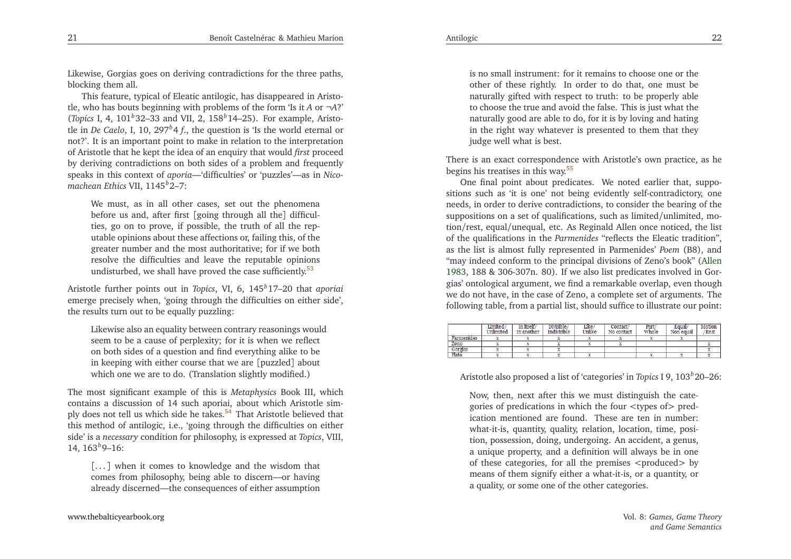Likewise, Gorgias goes on deriving contradictions for the three paths, blocking them all.

This feature, typical of Eleatic antilogic, has disappeared in Aristotle, who has bouts beginning with problems of the form 'Is it *<sup>A</sup>* or <sup>¬</sup>*A*?' (*Topics* I, 4, <sup>101</sup>*b*32–33 and VII, 2, <sup>158</sup>*<sup>b</sup>*14–25). For example, Aristotle in *De Caelo*, I, 10, <sup>297</sup>*b*<sup>4</sup> *<sup>f</sup>*., the question is 'Is the world eternal or not?'. It is an important point to make in relation to the interpretation of Aristotle that he kept the idea of an enquiry that would *first* proceed by deriving contradictions on both sides of <sup>a</sup> problem and frequently speaks in this context of *aporia*—'difficulties' or 'puzzles'—as in *Nicomachean Ethics* VII, <sup>1145</sup>*b*2–7:

<span id="page-11-1"></span>We must, as in all other cases, set out the <sup>p</sup>henomena before us and, after first [going through all the] difficulties, go on to prove, if possible, the truth of all the reputable opinions about these affections or, failing this, of the greater number and the most authoritative; for if we both resolve the difficulties and leave the reputable opinionsundisturbed, we shall have proved the case sufficiently. $53$ 

Aristotle further points out in *Topics*, VI, 6, <sup>145</sup>*b*17–20 that *aporiai* emerge precisely when, 'going through the difficulties on either side', the results turn out to be equally puzzling:

Likewise also an equality between contrary reasonings wouldseem to be <sup>a</sup> cause of perplexity; for it is when we reflect on both sides of <sup>a</sup> question and find everything alike to be in keeping with either course that we are [puzzled] about which one we are to do. (Translation slightly modified.)

The most significant example of this is *Metaphysics* Book III, which contains <sup>a</sup> discussion of 14 such aporiai, about which Aristotle sim-ply does not tell us which side he takes.<sup>[54](#page-14-31)</sup> That Aristotle believed that this method of antilogic, i.e., 'going through the difficulties on either side' is <sup>a</sup> *necessary* condition for <sup>p</sup>hilosophy, is expressed at *Topics*, VIII, 14,  $163^{b}9-16$ :

[. . . ] when it comes to knowledge and the wisdom that comes from <sup>p</sup>hilosophy, being able to discern—or havingalready discerned—the consequences of either assumption

is no small instrument: for it remains to choose one or the other of these rightly. In order to do that, one must be naturally <sup>g</sup>ifted with respec<sup>t</sup> to truth: to be properly able to choose the true and avoid the false. This is just what the naturally good are able to do, for it is by loving and hating in the right way whatever is presented to them that theyjudge well what is best.

There is an exact correspondence with Aristotle's own practice, as hebegins his treatises in this way.[55](#page-14-32)

<span id="page-11-2"></span>One final point about predicates. We noted earlier that, suppositions such as 'it is one' not being evidently self-contradictory, one needs, in order to derive contradictions, to consider the bearing of the suppositions on <sup>a</sup> set of qualifications, such as limited/unlimited, motion/rest, equal/unequal, etc. As Reginald Allen once noticed, the list of the qualifications in the *Parmenides* "reflects the Eleatic tradition", as the list is almost fully represented in Parmenides' *Poem* (B8), and "may indeed conform to the principal divisions of Zeno's book" [\(Allen](#page-15-2) [1983](#page-15-2), <sup>188</sup> & 306-307n. 80). If we also list predicates involved in Gor<sup>g</sup>ias' ontological argument, we find <sup>a</sup> remarkable overlap, even though we do not have, in the case of Zeno, <sup>a</sup> complete set of arguments. Thefollowing table, from <sup>a</sup> partial list, should suffice to illustrate our point:

<span id="page-11-0"></span>

|            | .imited<br>Unlimited | In itself/<br>In another | Divisible/<br>Indivisible | Like<br>Unlike | Contact<br>No contact | Part<br>Whole | Equal/<br>Non equal | Motion<br>Rest |
|------------|----------------------|--------------------------|---------------------------|----------------|-----------------------|---------------|---------------------|----------------|
| Parmenides |                      |                          |                           |                |                       |               |                     |                |
| Zeno       |                      |                          |                           |                |                       |               |                     |                |
| Gorgias    |                      |                          |                           |                |                       |               |                     |                |
| Plato      |                      |                          |                           |                |                       |               |                     |                |

Aristotle also proposed <sup>a</sup> list of 'categories' in *Topics* <sup>I</sup> 9, <sup>103</sup>*b*20–26:

Now, then, next after this we must distinguish the categories of predications in which the four *<sup>&</sup>lt;*types of*<sup>&</sup>gt;* predication mentioned are found. These are ten in number: what-it-is, quantity, quality, relation, location, time, position, possession, doing, undergoing. An accident, <sup>a</sup> genus, <sup>a</sup> unique property, and <sup>a</sup> definition will always be in one of these categories, for all the premises *<sup>&</sup>lt;*produced*<sup>&</sup>gt;* by means of them signify either <sup>a</sup> what-it-is, or <sup>a</sup> quantity, or<sup>a</sup> quality, or some one of the other categories.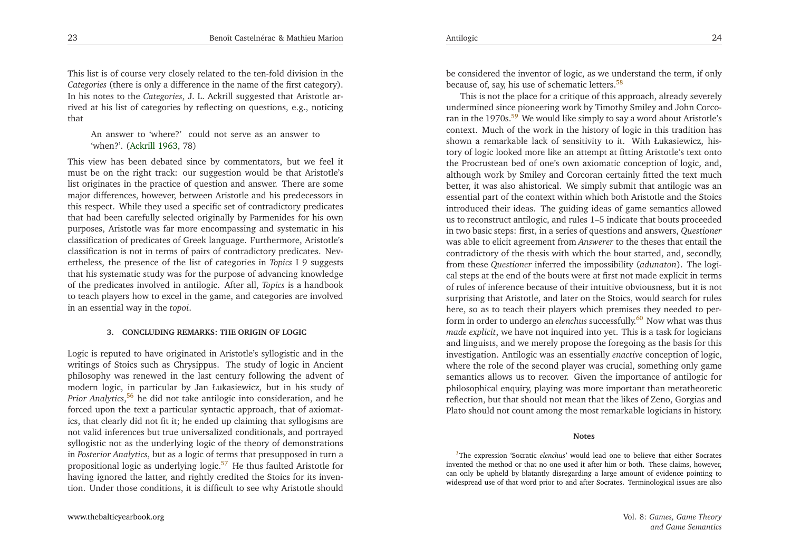This list is of course very closely related to the ten-fold division in the *Categories* (there is only <sup>a</sup> difference in the name of the first category). In his notes to the *Categories*, J. L. Ackrill suggested that Aristotle arrived at his list of categories by reflecting on questions, e.g., noticingthat

<span id="page-12-0"></span>An answer to 'where?' could not serve as an answer to'when?'. [\(Ackrill](#page-15-3) [1963](#page-15-3), 78)

<span id="page-12-1"></span>This view has been debated since by commentators, but we feel it must be on the right track: our suggestion would be that Aristotle's list originates in the practice of question and answer. There are some major differences, however, between Aristotle and his predecessors in this respect. While they used <sup>a</sup> specific set of contradictory predicates that had been carefully selected originally by Parmenides for his own purposes, Aristotle was far more encompassing and systematic in his classification of predicates of Greek language. Furthermore, Aristotle's classification is not in terms of pairs of contradictory predicates. Nevertheless, the presence of the list of categories in *Topics* <sup>I</sup> <sup>9</sup> suggests that his systematic study was for the purpose of advancing knowledge of the predicates involved in antilogic. After all, *Topics* is <sup>a</sup> handbook to teach <sup>p</sup>layers how to excel in the game, and categories are involvedin an essential way in the *topoi*.

#### <span id="page-12-4"></span>**3. CONCLUDING REMARKS: THE ORIGIN OF LOGIC**

Logic is reputed to have originated in Aristotle's syllogistic and in the writings of Stoics such as Chrysippus. The study of logic in Ancient <sup>p</sup>hilosophy was renewed in the last century following the advent of modern logic, in particular by Jan Łukasiewicz, but in his study of *Prior Analytics*,[56](#page-14-33) he did not take antilogic into consideration, and he forced upon the text <sup>a</sup> particular syntactic approach, that of axiomatics, that clearly did not fit it; he ended up claiming that syllogisms are not valid inferences but true universalized conditionals, and portrayed syllogistic not as the underlying logic of the theory of demonstrations in *Posterior Analytics*, but as <sup>a</sup> logic of terms that presupposed in turn <sup>a</sup> propositional logic as underlying logic. $57$  He thus faulted Aristotle for having ignored the latter, and rightly credited the Stoics for its invention. Under those conditions, it is difficult to see why Aristotle should

be considered the inventor of logic, as we understand the term, if onlybecause of, say, his use of schematic letters.<sup>[58](#page-14-35)</sup>

<span id="page-12-3"></span><span id="page-12-2"></span>This is not the <sup>p</sup>lace for <sup>a</sup> critique of this approach, already severely undermined since <sup>p</sup>ioneering work by Timothy Smiley and John Corco-ran in the 1970s.<sup>[59](#page-14-36)</sup> We would like simply to say a word about Aristotle's context. Much of the work in the history of logic in this tradition has shown <sup>a</sup> remarkable lack of sensitivity to it. With Łukasiewicz, history of logic looked more like an attempt at fitting Aristotle's text onto the Procrustean bed of one's own axiomatic conception of logic, and, although work by Smiley and Corcoran certainly fitted the text much better, it was also ahistorical. We simply submit that antilogic was an essential par<sup>t</sup> of the context within which both Aristotle and the Stoics introduced their ideas. The guiding ideas of game semantics allowed us to reconstruct antilogic, and rules 1–5 indicate that bouts proceeded in two basic steps: first, in <sup>a</sup> series of questions and answers, *Questioner* was able to elicit agreemen<sup>t</sup> from *Answerer* to the theses that entail the contradictory of the thesis with which the bout started, and, secondly, from these *Questioner* inferred the impossibility (*adunaton*). The logical steps at the end of the bouts were at first not made explicit in terms of rules of inference because of their intuitive obviousness, but it is not surprising that Aristotle, and later on the Stoics, would search for rules here, so as to teach their <sup>p</sup>layers which premises they needed to perform in order to undergo an *elenchus* successfully.<sup>[60](#page-14-37)</sup> Now what was thus *made explicit*, we have not inquired into yet. This is <sup>a</sup> task for logicians and linguists, and we merely propose the foregoing as the basis for this investigation. Antilogic was an essentially *enactive* conception of logic, where the role of the second <sup>p</sup>layer was crucial, something only game semantics allows us to recover. Given the importance of antilogic for <sup>p</sup>hilosophical enquiry, <sup>p</sup>laying was more important than metatheoretic reflection, but that should not mean that the likes of Zeno, Gorgias andPlato should not count among the most remarkable logicians in history.

#### **Notes**

*[1](#page-1-0)*The expression 'Socratic *elenchus'* would lead one to believe that either Socrates invented the method or that no one used it after him or both. These claims, however, can only be upheld by blatantly disregarding <sup>a</sup> large amount of evidence pointing towidespread use of that word prior to and after Socrates. Terminological issues are also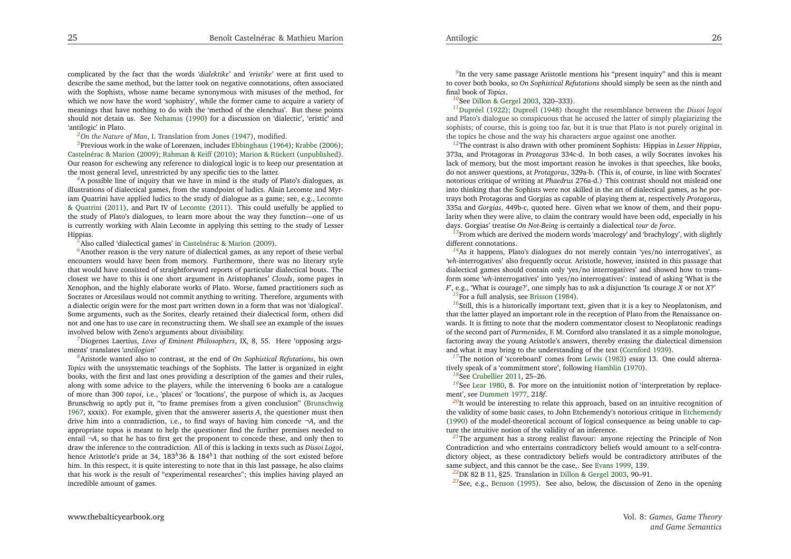<span id="page-13-19"></span><span id="page-13-7"></span>complicated by the fact that the words *'dialektike'* and *'eristike'* were at first used to describe the same method, but the latter took on negative connotations, often associated with the Sophists, whose name became synonymous with misuses of the method, for which we now have the word 'sophistry', while the former came to acquire <sup>a</sup> variety of meanings that have nothing to do with the 'method of the elenchus'. But these points should not detain us. See [Nehamas](#page-15-4) [\(1990\)](#page-15-4) for <sup>a</sup> discussion on 'dialectic', 'eristic' and'antilogic' in Plato.

<span id="page-13-18"></span><span id="page-13-17"></span><span id="page-13-6"></span><span id="page-13-5"></span>*[2](#page-2-0)On the Nature of Man*, I. Translation from [Jones](#page-15-5) [\(1947\)](#page-15-5), modified.

*[3](#page-2-1)*Previous work in the wake of Lorenzen, includes [Ebbinghaus](#page-15-6) [\(1964](#page-15-6)); [Krabbe](#page-15-7) [\(2006\)](#page-15-7); [Castelnérac](#page-15-0) & Marion [\(2009\)](#page-15-0); [Rahman](#page-16-3) & Keiff [\(2010](#page-16-3)); Marion & [Rückert](#page-15-8) [\(unpublished](#page-15-8)). Our reason for eschewing any reference to dialogical logic is to keep our presentation atthe most general level, unrestricted by any specific ties to the latter.

<sup>[4](#page-2-2)</sup>A possible line of inquiry that we have in mind is the study of Plato's dialogues, as illustrations of dialectical games, from the standpoint of ludics. Alain Lecomte and Myriam Quatrini have applied ludics to the study of dialo[g](#page-15-9)ue as <sup>a</sup> game; see, e.g., Lecomte & Quatrini [\(2011](#page-15-9)), and Part IV of [Lecomte](#page-15-10) [\(2011](#page-15-10)). This could usefully be applied to the study of Plato's dialogues, to learn more about the way they function—one of us is currently working with Alain Lecomte in applying this setting to the study of LesserHippias.

<span id="page-13-21"></span><span id="page-13-20"></span><span id="page-13-16"></span><span id="page-13-15"></span>*[5](#page-2-3)*Also called 'dialectical games' in [Castelnérac](#page-15-0) & Marion [\(2009](#page-15-0)).

<sup>[6](#page-2-4)</sup>Another reason is the very nature of dialectical games, as any report of these verbal encounters would have been from memory. Furthermore, there was no literary style that would have consisted of straightforward reports of particular dialectical bouts. The closest we have to this is one short argumen<sup>t</sup> in Aristophanes' *Clouds*, some pages in Xenophon, and the highly elaborate works of Plato. Worse, famed practitioners such as Socrates or Arcesilaus would not commit anything to writing. Therefore, arguments with <sup>a</sup> dialectic origin were for the most par<sup>t</sup> written down in <sup>a</sup> form that was not 'dialogical'. Some arguments, such as the Sorites, clearly retained their dialectical form, others did not and one has to use care in reconstructing them. We shall see an example of the issuesinvolved below with Zeno's arguments about divisibility.

*[7](#page-2-5)*Diogenes Laertius, *Lives of Eminent Philosophers*, IX, 8, 55. Here 'opposing arguments' translates '*antilogion*'

*[8](#page-3-0)*Aristotle wanted also to contrast, at the end of *On Sophistical Refutations*, his own *Topics* with the unsystematic teachings of the Sophists. The latter is organized in eight books, with the first and last ones providing <sup>a</sup> description of the games and their rules, along with some advice to the <sup>p</sup>layers, while the intervening <sup>6</sup> books are <sup>a</sup> catalogue of more than <sup>300</sup> *topoi*, i.e., 'places' or 'locations', the purpose of which is, as Jacques Brunschwig so aptly pu<sup>t</sup> it, "to frame premises from <sup>a</sup> <sup>g</sup>iven conclusion" [\(Brunschwig](#page-15-11) [1967](#page-15-11), xxxix). For example, <sup>g</sup>iven that the answerer asserts *<sup>A</sup>*, the questioner must then drive him into <sup>a</sup> contradiction, i.e., to find ways of having him concede <sup>¬</sup>*A*, and the appropriate topos is meant to help the questioner find the further premises needed to entail <sup>¬</sup>*A*, so that he has to first ge<sup>t</sup> the proponen<sup>t</sup> to concede these, and only then to draw the inference to the contradiction. All of this is lacking in texts such as *Dissoi Logoi*, hence Aristotle's pride at 34, <sup>183</sup>*b*<sup>36</sup> & <sup>184</sup>*b*<sup>1</sup> that nothing of the sort existed before him. In this respect, it is quite interesting to note that in this last passage, he also claims that his work is the result of "experimental researches"; this implies having <sup>p</sup>layed anincredible amount of games.

<span id="page-13-13"></span><span id="page-13-12"></span><span id="page-13-11"></span><span id="page-13-10"></span><span id="page-13-8"></span><span id="page-13-1"></span><sup>[9](#page-3-1)</sup>In the very same passage Aristotle mentions his "present inquiry" and this is meant to cover both books, so *On Sophistical Refutations* should simply be seen as the ninth andfinal book of *Topics*.

*[10](#page-3-2)*See Dillon & [Gergel](#page-15-12) [2003](#page-15-12), 320–333).

*[11](#page-3-3)*[Dupréel](#page-15-13) [\(1922](#page-15-13)); [Dupreél](#page-15-14) [\(1948](#page-15-14)) thought the resemblance between the *Dissoi logoi* and Plato's dialogue so conspicuous that he accused the latter of simply <sup>p</sup>lagiarizing the sophists; of course, this is going too far, but it is true that Plato is not purely original inthe topics he chose and the way his characters argue against one another.

<span id="page-13-14"></span><span id="page-13-9"></span>*[12](#page-3-4)*The contrast is also drawn with other prominent Sophists: Hippias in *Lesser Hippias*, 373a, and Protagoras in *Protagoras* 334c-d. In both cases, <sup>a</sup> wily Socrates invokes his lack of memory, but the most important reason he invokes is that speeches, like books, do not answer questions, at *Protagoras*, 329a-b. (This is, of course, in line with Socrates' notorious critique of writing at *Phaedrus* 276a-d.) This contrast should not mislead one into thinking that the Sophists were not skilled in the art of dialectical games, as he portrays both Protagoras and Gorgias as capable of <sup>p</sup>laying them at, respectively *Protagoras*, 335a and *Gorgias*, 449b-c, quoted here. Given what we know of them, and their popularity when they were alive, to claim the contrary would have been odd, especially in his days. Gorgias' treatise *On Not-Being* is certainly <sup>a</sup> dialectical *tour de force*.

<span id="page-13-3"></span><span id="page-13-0"></span><sup>[13](#page-3-5)</sup>From which are derived the modern words 'macrology' and 'brachylogy', with slightly different connotations.

<span id="page-13-4"></span><sup>[14](#page-3-6)</sup>As it happens, Plato's dialogues do not merely contain 'yes/no interrogatives', as *'wh-*interrogatives' also frequently occur. Aristotle, however, insisted in this passage that dialectical games should contain only 'yes/no interrogatives' and showed how to transform some '*wh*-interrogatives' into 'yes/no interrogatives': instead of asking 'What is the*<sup>F</sup>*', e.g., 'What is courage?', one simply has to ask <sup>a</sup> disjunction 'Is courage *<sup>X</sup>* or not *<sup>X</sup>*?'

<sup>[15](#page-3-7)</sup>For a full analysis, see [Brisson](#page-15-15) [\(1984\)](#page-15-15).

<span id="page-13-2"></span><sup>[16](#page-3-8)</sup>Still, this is a historically important text, given that it is a key to Neoplatonism, and that the latter <sup>p</sup>layed an important role in the reception of Plato from the Renaissance onwards. It is fitting to note that the modern commentator closest to Neoplatonic readings of the second par<sup>t</sup> of *Parmenides*, F. M. Cornford also translated it as <sup>a</sup> simple monologue, factoring away the young Aristotle's answers, thereby erasing the dialectical dimensionand what it may bring to the understanding of the text [\(Cornford](#page-15-16) [1939\)](#page-15-16).

<sup>[17](#page-4-0)</sup>The notion of 'scoreboard' comes from [Lewis](#page-15-17) [\(1983](#page-15-17)) essay 13. One could alternatively speak of <sup>a</sup> 'commitment store', following [Hamblin](#page-15-18) [\(1970\)](#page-15-18).

*[18](#page-4-1)*See [Crubellier](#page-15-19) [2011](#page-15-19), 25–26.

<sup>[19](#page-4-2)</sup>See [Lear](#page-15-20) [1980](#page-15-20), 8. For more on the intuitionist notion of 'interpretation by replacement', see [Dummett](#page-15-21) [1977](#page-15-21), <sup>218</sup>*f*.

<sup>[20](#page-4-3)</sup>It would be interesting to relate this approach, based on an intuitive recognition of the validity of some basic cases, to John Etchemendy's notorious critique in [Etchemendy](#page-15-22) [\(1990](#page-15-22)) of the model-theoretical account of logical consequence as being unable to capture the intuitive notion of the validity of an inference.

*[21](#page-4-4)*The argumen<sup>t</sup> has <sup>a</sup> strong realist flavour: anyone rejecting the Principle of Non Contradiction and who entertains contradictory beliefs would amount to <sup>a</sup> self-contradictory object, as these contradictory beliefs would be contradictory attributes of thesame subject, and this cannot be the case,. See [Evans](#page-15-23) [1999,](#page-15-23) 139.

*[22](#page-5-0)*DK <sup>82</sup> <sup>B</sup> 11, §25. Translation in Dillon & [Gergel](#page-15-12) [2003](#page-15-12), 90–91.

*[23](#page-5-1)*See, e.g., [Benson](#page-15-24) [\(1995](#page-15-24)). See also, below, the discussion of Zeno in the opening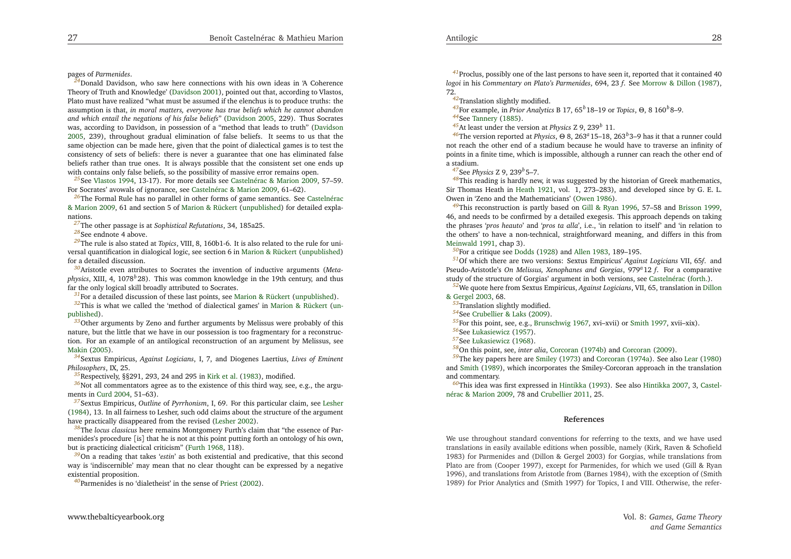<span id="page-14-36"></span><span id="page-14-30"></span><span id="page-14-11"></span><span id="page-14-10"></span>pages of *Parmenides*.

<span id="page-14-34"></span><span id="page-14-33"></span><span id="page-14-16"></span><span id="page-14-13"></span>*[24](#page-5-2)*Donald Davidson, who saw here connections with his own ideas in 'A Coherence Theory of Truth and Knowledge' [\(Davidson](#page-15-25) [2001\)](#page-15-25), pointed out that, according to Vlastos, Plato must have realized "what must be assumed if the elenchus is to produce truths: theassumption is that, in moral matters, everyone has true beliefs which he cannot abandon *and which entail the negations of his false beliefs*" [\(Davidson](#page-15-26) [2005](#page-15-26), 229). Thus Socrates was, according to Davidson, in possession of <sup>a</sup> "method that leads to truth" [\(Davidson](#page-15-26) [2005](#page-15-26), 239), throughout gradual elimination of false beliefs. It seems to us that the same objection can be made here, <sup>g</sup>iven that the point of dialectical games is to test the consistency of sets of beliefs: there is never <sup>a</sup> guarantee that one has eliminated false beliefs rather than true ones. It is always possible that the consistent set one ends upwith contains only false beliefs, so the possibility of massive error remains open.

<span id="page-14-37"></span><span id="page-14-31"></span>*[25](#page-6-0)*See [Vlastos](#page-16-2) [1994,](#page-16-2) 13-17). For more details see [Castelnérac](#page-15-0) & Marion [2009](#page-15-0), 57–59. For Socrates' avowals of ignorance, see [Castelnérac](#page-15-0) & Marion [2009](#page-15-0), 61–62).

*[26](#page-6-1)*The Formal Rule has no parallel in other forms of [g](#page-15-0)ame semantics. See Castelnérac & Marion [2009,](#page-15-0) 61 and section <sup>5</sup> of Marion & [Rückert](#page-15-8) [\(unpublished](#page-15-8)) for detailed explanations.

<span id="page-14-15"></span>*[27](#page-6-2)*The other passage is at *Sophistical Refutations*, 34, 185a25.

<span id="page-14-32"></span><span id="page-14-14"></span><span id="page-14-12"></span>*[28](#page-6-3)*See endnote <sup>4</sup> above.

<span id="page-14-17"></span>*[29](#page-6-4)*The rule is also stated at *Topics*, VIII, 8, 160b1-6. It is also related to the rule for universal quantification in dialogical logic, see section 6 in Marion & [Rückert](#page-15-8) [\(unpublished](#page-15-8)) for <sup>a</sup> detailed discussion.

*[30](#page-7-0)*Aristotle even attributes to Socrates the invention of inductive arguments (*Meta<sup>p</sup>hysics*, XIII, 4, <sup>1078</sup>*<sup>b</sup>*28). This was common knowledge in the 19th century, and thusfar the only logical skill broadly attributed to Socrates.

<span id="page-14-35"></span>*[31](#page-7-1)*For <sup>a</sup> detailed discussion of these last points, see Marion & [Rückert](#page-15-8) [\(unpublished](#page-15-8)).

*[32](#page-7-2)*This is what we called the 'method of dialectical [g](#page-15-8)ames' in Marion & [Rückert](#page-15-8) (unpublished).

 *[33](#page-7-3)*Other arguments by Zeno and further arguments by Melissus were probably of this nature, but the little that we have in our possession is too fragmentary for <sup>a</sup> reconstruction. For an example of an antilogical reconstruction of an argumen<sup>t</sup> by Melissus, see[Makin](#page-15-27) [\(2005](#page-15-27)).

*[34](#page-7-4)*Sextus Empiricus, *Against Logicians*, I, 7, and Diogenes Laertius, *Lives of EminentPhilosophers*, IX, 25.

<span id="page-14-9"></span>*[35](#page-8-0)*Respectively, §§291, 293, <sup>24</sup> and <sup>295</sup> in [Kirk](#page-15-28) et al. [\(1983](#page-15-28)), modified.

*[36](#page-8-1)*Not all commentators agree as to the existence of this third way, see, e.g., the argu-ments in [Curd](#page-15-29) [2004](#page-15-29), 51–63).

*[37](#page-8-2)*Sextus Empiricus, *Outline* of *Pyrrhonism*, I, 69. For this particular claim, see [Lesher](#page-15-30) [\(1984](#page-15-30)), 13. In all fairness to Lesher, such odd claims about the structure of the argumen<sup>t</sup>have practically disappeared from the revised [\(Lesher](#page-15-31) [2002\)](#page-15-31).

*[38](#page-8-3)*The *locus classicus* here remains Montgomery Furth's claim that "the essence of Parmenides's procedure [is] that he is not at this point putting forth an ontology of his own, but is practicing dialectical criticism" [\(Furth](#page-15-32) [1968](#page-15-32), 118).

*[39](#page-8-4)*On <sup>a</sup> reading that takes '*estin*' as both existential and predicative, that this second way is 'indiscernible' may mean that no clear thought can be expressed by <sup>a</sup> negativeexistential proposition.

*[40](#page-8-5)*Parmenides is no 'dialetheist' in the sense of [Priest](#page-16-4) [\(2002](#page-16-4)).

<span id="page-14-29"></span><span id="page-14-26"></span><span id="page-14-24"></span><span id="page-14-23"></span><span id="page-14-22"></span><span id="page-14-20"></span><span id="page-14-19"></span><span id="page-14-7"></span><span id="page-14-5"></span><span id="page-14-4"></span><span id="page-14-1"></span><span id="page-14-0"></span>*[41](#page-9-0)*Proclus, possibly one of the last persons to have seen it, reported that it contained <sup>40</sup> *logoi* in his *Commentary on Plato's Parmenides*, 694, <sup>23</sup> *f*. See [Morrow](#page-15-33) & Dillon [\(1987](#page-15-33)), 72.

*[42](#page-9-1)*Translation slightly modified.

<span id="page-14-21"></span>*[43](#page-9-2)*For example, in *Prior Analytics* <sup>B</sup> 17, <sup>65</sup>*b*18–19 or *Topics*, <sup>Θ</sup>, <sup>8</sup> <sup>160</sup>*b*8–9. *[44](#page-9-3)*See [Tannery](#page-16-5) [\(1885\)](#page-16-5).

*[45](#page-9-4)*At least under the version at *Physics* <sup>Z</sup> 9, <sup>239</sup>*<sup>b</sup>* 11.

*[46](#page-9-5)*The version reported at *Physics*, <sup>Θ</sup> 8, <sup>263</sup>*<sup>a</sup>*15–18, <sup>263</sup>*b*3–9 has it that <sup>a</sup> runner could not reach the other end of <sup>a</sup> stadium because he would have to traverse an infinity of points in <sup>a</sup> finite time, which is impossible, although <sup>a</sup> runner can reach the other end of<sup>a</sup> stadium.

*[47](#page-9-6)*See *Physics* <sup>Z</sup> 9, <sup>239</sup>*b*5–7.

*[48](#page-10-0)*This reading is hardly new, it was suggested by the historian of Greek mathematics, Sir Thomas Heath in [Heath](#page-15-34) [1921](#page-15-34), vol. 1, 273–283), and developed since by G. E. L. Owen in 'Zeno and the Mathematicians' [\(Owen](#page-15-35) [1986](#page-15-35)).

<span id="page-14-27"></span><span id="page-14-25"></span>*[49](#page-10-1)*This reconstruction is partly based on Gill & [Ryan](#page-15-36) [1996](#page-15-36), 57–58 and [Brisson](#page-15-37) [1999](#page-15-37), 46, and needs to be confirmed by <sup>a</sup> detailed exegesis. This approach depends on taking the <sup>p</sup>hrases '*pros heauto*' and '*pros ta alla*', i.e., 'in relation to itself' and 'in relation to the others' to have <sup>a</sup> non-technical, straightforward meaning, and differs in this from[Meinwald](#page-15-38) [1991](#page-15-38), chap 3).

*[50](#page-10-2)*For <sup>a</sup> critique see [Dodds](#page-15-39) [\(1928](#page-15-39)) and [Allen](#page-15-2) [1983](#page-15-2), 189–195.

<span id="page-14-3"></span><span id="page-14-2"></span>*[51](#page-10-3)*Of which there are two versions: Sextus Empiricus' *Against Logicians* VII, <sup>65</sup>*f*. and Pseudo-Aristotle's *On Melissus, Xenophanes and Gorgias*, <sup>979</sup>*<sup>a</sup>*<sup>12</sup> *f*. For <sup>a</sup> comparative study of the structure of Gorgias' argumen<sup>t</sup> in both versions, see [Castelnérac](#page-15-40) [\(forth.](#page-15-40)).

<span id="page-14-28"></span><span id="page-14-8"></span><span id="page-14-6"></span>*[52](#page-10-4)*We quote here from Sextus Em[p](#page-15-12)iricus[,](#page-15-12) *Against Logicians*, VII, 65, translation in Dillon & Gergel [2003](#page-15-12), 68.

<span id="page-14-18"></span>*[53](#page-11-0)*Translation slightly modified.

*[54](#page-11-1)*See [Crubellier](#page-15-41) & Laks [\(2009](#page-15-41)).

*[55](#page-11-2)*For this point, see, e.g., [Brunschwig](#page-15-11) [1967,](#page-15-11) xvi–xvii) or [Smith](#page-16-6) [1997,](#page-16-6) xvii–xix).

*[56](#page-12-0)*See [Łukasiewicz](#page-15-42) [\(1957](#page-15-42)). *[57](#page-12-1)*See [Łukasiewicz](#page-15-43) [\(1968](#page-15-43)).

*[58](#page-12-2)*On this point, see, *inter alia*, [Corcoran](#page-15-44) [\(1974b](#page-15-44)) and [Corcoran](#page-15-45) [\(2009](#page-15-45)).

*[59](#page-12-3)*The key papers here are [Smiley](#page-16-7) [\(1973](#page-16-7)) and [Corcoran](#page-15-46) [\(1974a](#page-15-46)). See also [Lear](#page-15-20) [\(1980](#page-15-20)) and [Smith](#page-16-8) [\(1989](#page-16-8)), which incorporates the Smiley-Corcoran approac<sup>h</sup> in the translationand commentary.

*[60](#page-12-4)*This idea was first ex[p](#page-15-0)ressed in [Hintikka](#page-15-47) [\(1993\)](#page-15-47). See also [Hintikka](#page-15-48) [2007](#page-15-48), 3, Castelnérac & Marion [2009](#page-15-0), 78 and [Crubellier](#page-15-19) [2011](#page-15-19), 25.

#### **References**

We use throughout standard conventions for referring to the texts, and we have used translations in easily available editions when possible, namely (Kirk, Raven & Schofield 1983) for Parmenides and (Dillon & Gergel 2003) for Gorgias, while translations from Plato are from (Cooper 1997), excep<sup>t</sup> for Parmenides, for which we used (Gill & Ryan 1996), and translations from Aristotle from (Barnes 1984), with the exception of (Smith1989) for Prior Analytics and (Smith 1997) for Topics, <sup>I</sup> and VIII. Otherwise, the refer-

Vol. 8: *Games, Game Theoryand Game Semantics*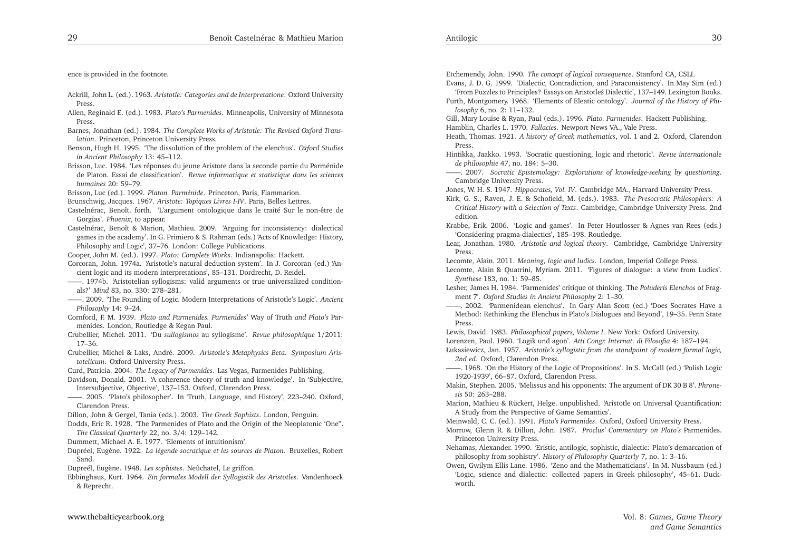<span id="page-15-43"></span><span id="page-15-42"></span><span id="page-15-41"></span><span id="page-15-39"></span><span id="page-15-38"></span><span id="page-15-35"></span><span id="page-15-33"></span><span id="page-15-29"></span><span id="page-15-27"></span><span id="page-15-26"></span><span id="page-15-25"></span><span id="page-15-21"></span><span id="page-15-19"></span><span id="page-15-17"></span><span id="page-15-16"></span><span id="page-15-14"></span><span id="page-15-13"></span><span id="page-15-12"></span><span id="page-15-8"></span><span id="page-15-6"></span><span id="page-15-4"></span><span id="page-15-1"></span>ence is provided in the footnote.

- Ackrill, John L. (ed.). 1963. *Aristotle: Categories and de Interpretatione*. Oxford UniversityPress.
- Allen, Reginald E. (ed.). 1983. *Plato's Parmenides*. Minneapolis, University of MinnesotaPress.
- Barnes, Jonathan (ed.). 1984. *The Complete Works of Aristotle: The Revised Oxford Translation*. Princeton, Princeton University Press.
- Benson, Hugh H. 1995. 'The dissolution of the problem of the elenchus'. *Oxford Studiesin Ancient Philosophy* 13: 45–112.
- Brisson, Luc. 1984. 'Les réponses du jeune Aristote dans la seconde partie du Parménide de Platon. Essai de classification'. *Revue informatique et statistique dans les scienceshumaines* 20: 59–79.
- Brisson, Luc (ed.). 1999. *Platon. Parménide*. Princeton, Paris, Flammarion.
- Brunschwig, Jacques. 1967. *Aristote: Topiques Livres I-IV*. Paris, Belles Lettres.
- Castelnérac, Benoît. forth. 'L'argument ontologique dans le traité Sur le non-être deGorgias'. *Phoenix*, to appear.
- Castelnérac, Benoît & Marion, Mathieu. 2009. 'Arguing for inconsistency: dialectical games in the academy'. In G. Primiero & S. Rahman (eds.) 'Acts of Knowledge: History, Philosophy and Logic', 37–76. London: College Publications.
- Cooper, John M. (ed.). 1997. *Plato: Complete Works*. Indianapolis: Hackett.
- Corcoran, John. 1974a. 'Aristotle's natural deduction system'. In J. Corcoran (ed.) 'Ancient logic and its modern interpretations', 85–131. Dordrecht, D. Reidel.
- ——. 1974b. 'Aristotelian syllogisms: valid arguments or true universalized conditionals?' *Mind* 83, no. 330: 278–281.
- ——. 2009. 'The Founding of Logic. Modern Interpretations of Aristotle's Logic'. *AncientPhilosophy* 14: 9–24.
- Cornford, F. M. 1939. *Plato and Parmenides. Parmenides'* Way of Truth *and Plato's* Parmenides. London, Routledge & Kegan Paul.
- Crubellier, Michel. 2011. 'Du *sullogismos* au syllogisme'. *Revue <sup>p</sup>hilosophique* <sup>1</sup>/2011: 17–36.
- Crubellier, Michel & Laks, André. 2009. *Aristotle's Metaphysics Beta: Symposium Aristotelicum*. Oxford University Press.
- Curd, Patricia. 2004. *The Legacy of Parmenides*. Las Vegas, Parmenides Publishing.

Davidson, Donald. 2001. 'A coherence theory of truth and knowledge'. In 'Subjective, Intersubjective, Objective', 137–153. Oxford, Clarendon Press.

——. 2005. 'Plato's <sup>p</sup>hilosopher'. In 'Truth, Language, and History', 223–240. Oxford, Clarendon Press.

- Dillon, John & Gergel, Tania (eds.). 2003. *The Greek Sophists*. London, Penguin.
- Dodds, Eric R. 1928. 'The Parmenides of Plato and the Origin of the Neoplatonic 'One". *The Classical Quarterly* 22, no. <sup>3</sup>/4: 129–142.
- Dummett, Michael A. E. 1977. 'Elements of intuitionism'.

Dupréel, Eugène. 1922. *La légende socratique et les sources de Platon*. Bruxelles, RobertSand.

Dupreél, Eugène. 1948. *Les sophistes*. Neûchatel, Le griffon.

Ebbinghaus, Kurt. 1964. *Ein formales Modell der Syllogistik des Aristotles*. Vandenhoeck& Reprecht.

<span id="page-15-48"></span><span id="page-15-47"></span><span id="page-15-46"></span><span id="page-15-45"></span><span id="page-15-44"></span><span id="page-15-40"></span><span id="page-15-37"></span><span id="page-15-36"></span><span id="page-15-34"></span><span id="page-15-32"></span><span id="page-15-31"></span><span id="page-15-30"></span><span id="page-15-28"></span><span id="page-15-24"></span><span id="page-15-23"></span><span id="page-15-22"></span><span id="page-15-20"></span><span id="page-15-18"></span><span id="page-15-15"></span><span id="page-15-11"></span><span id="page-15-10"></span><span id="page-15-9"></span><span id="page-15-7"></span><span id="page-15-5"></span><span id="page-15-3"></span><span id="page-15-2"></span><span id="page-15-0"></span>Etchemendy, John. 1990. *The concep<sup>t</sup> of logical consequence*. Stanford CA, CSLI.

- Evans, J. D. G. 1999. 'Dialectic, Contradiction, and Paraconsistency'. In May Sim (ed.)'From Puzzles to Principles? Essays on Aristotleś Dialectic', 137–149. Lexington Books.
- Furth, Montgomery. 1968. 'Elements of Eleatic ontology'. *Journal of the History of Philosophy* 6, no. 2: 11–132.

Gill, Mary Louise & Ryan, Paul (eds.). 1996. *Plato. Parmenides*. Hackett Publishing.

- Hamblin, Charles L. 1970. *Fallacies*. Newport News VA., Vale Press.
- Heath, Thomas. 1921. *<sup>A</sup> history of Greek mathematics*, vol. <sup>1</sup> and 2. Oxford, ClarendonPress.
- Hintikka, Jaakko. 1993. 'Socratic questioning, logic and rhetoric'. *Revue internationalede <sup>p</sup>hilosophie* 47, no. 184: 5–30.
- ——. 2007. *Socratic Epistemology: Explorations of knowledge-seeking by questioning*. Cambridge University Press.
- Jones, W. H. S. 1947. *Hippocrates, Vol. IV*. Cambridge MA., Harvard University Press.
- Kirk, G. S., Raven, J. E. & Schofield, M. (eds.). 1983. *The Presocratic Philosophers: <sup>A</sup> Critical History with <sup>a</sup> Selection of Texts*. Cambridge, Cambridge University Press. 2ndedition.
- Krabbe, Erik. 2006. 'Logic and games'. In Peter Houtlosser & Agnes van Rees (eds.) 'Considering pragma-dialectics', 185–198. Routledge.
- Lear, Jonathan. 1980. *Aristotle and logical theory*. Cambridge, Cambridge UniversityPress.
- Lecomte, Alain. 2011. *Meaning, logic and ludics*. London, Imperial College Press.
- Lecomte, Alain & Quatrini, Myriam. 2011. 'Figures of dialogue: <sup>a</sup> view from Ludics'. *Synthese* 183, no. 1: 59–85.
- Lesher, James H. 1984. 'Parmenides' critique of thinking. The *Poluderis Elenchos* of Fragment 7'. *Oxford Studies in Ancient Philosophy* 2: 1–30.
- ——. 2002. 'Parmenidean elenchus'. In Gary Alan Scott (ed.) 'Does Socrates Have <sup>a</sup> Method: Rethinking the Elenchus in Plato's Dialogues and Beyond', 19–35. Penn StatePress.
- Lewis, David. 1983. *Philosophical papers, Volume <sup>I</sup>*. New York: Oxford University.

Lorenzen, Paul. 1960. 'Logik und agon'. *Atti Congr. Internat. di Filosofia* 4: 187–194.

Łukasiewicz, Jan. 1957. *Aristotle's syllogistic from the standpoint of modern formal logic, 2nd ed.* Oxford, Clarendon Press.

- ——. 1968. 'On the History of the Logic of Propositions'. In S. McCall (ed.) 'Polish Logic1920-1939', 66–87. Oxford, Clarendon Press.
- Makin, Stephen. 2005. 'Melissus and his opponents: The argumen<sup>t</sup> of DK <sup>30</sup> <sup>B</sup> 8'. *Phronesis* 50: 263–288.
- Marion, Mathieu & Rückert, Helge. unpublished. 'Aristotle on Universal Quantification: <sup>A</sup> Study from the Perspective of Game Semantics'.
- Meinwald, C. C. (ed.). 1991. *Plato's Parmenides*. Oxford, Oxford University Press.
- Morrow, Glenn R. & Dillon, John. 1987. *Proclus' Commentary on Plato's* Parmenides. Princeton University Press.
- Nehamas, Alexander. 1990. 'Eristic, antilogic, sophistic, dialectic: Plato's demarcation of<sup>p</sup>hilosophy from sophistry'. *History of Philosophy Quarterly* 7, no. 1: 3–16.
- Owen, Gwilym Ellis Lane. 1986. 'Zeno and the Mathematicians'. In M. Nussbaum (ed.) 'Logic, science and dialectic: collected papers in Greek <sup>p</sup>hilosophy', 45–61. Duckworth.